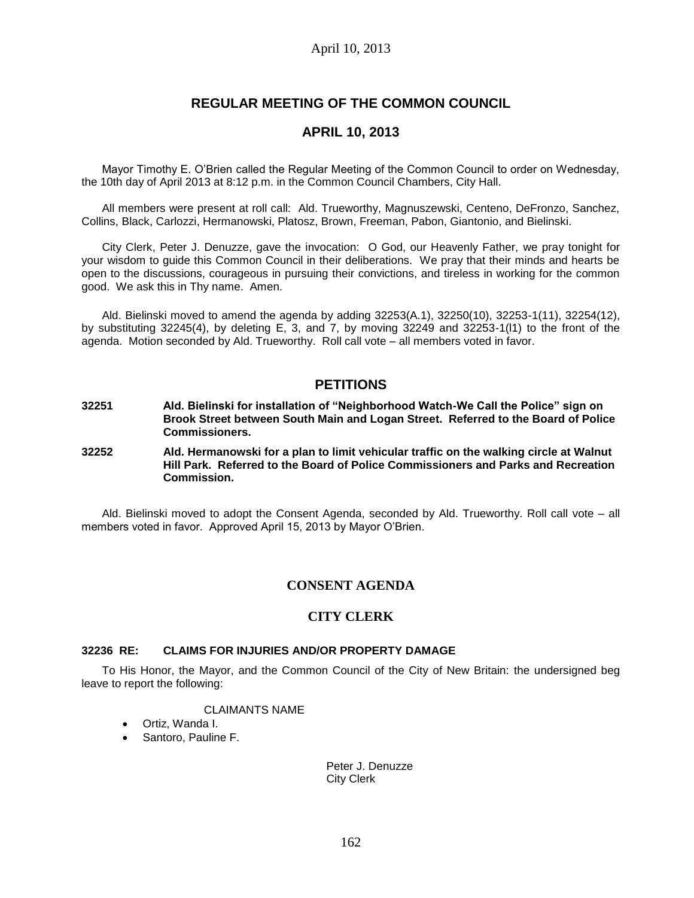# **REGULAR MEETING OF THE COMMON COUNCIL**

## **APRIL 10, 2013**

Mayor Timothy E. O'Brien called the Regular Meeting of the Common Council to order on Wednesday, the 10th day of April 2013 at 8:12 p.m. in the Common Council Chambers, City Hall.

All members were present at roll call: Ald. Trueworthy, Magnuszewski, Centeno, DeFronzo, Sanchez, Collins, Black, Carlozzi, Hermanowski, Platosz, Brown, Freeman, Pabon, Giantonio, and Bielinski.

City Clerk, Peter J. Denuzze, gave the invocation: O God, our Heavenly Father, we pray tonight for your wisdom to guide this Common Council in their deliberations. We pray that their minds and hearts be open to the discussions, courageous in pursuing their convictions, and tireless in working for the common good. We ask this in Thy name. Amen.

Ald. Bielinski moved to amend the agenda by adding 32253(A.1), 32250(10), 32253-1(11), 32254(12), by substituting 32245(4), by deleting E, 3, and 7, by moving 32249 and 32253-1(l1) to the front of the agenda. Motion seconded by Ald. Trueworthy. Roll call vote – all members voted in favor.

## **PETITIONS**

- **32251 Ald. Bielinski for installation of "Neighborhood Watch-We Call the Police" sign on Brook Street between South Main and Logan Street. Referred to the Board of Police Commissioners.**
- **32252 Ald. Hermanowski for a plan to limit vehicular traffic on the walking circle at Walnut Hill Park. Referred to the Board of Police Commissioners and Parks and Recreation Commission.**

Ald. Bielinski moved to adopt the Consent Agenda, seconded by Ald. Trueworthy. Roll call vote – all members voted in favor. Approved April 15, 2013 by Mayor O'Brien.

## **CONSENT AGENDA**

## **CITY CLERK**

### **32236 RE: CLAIMS FOR INJURIES AND/OR PROPERTY DAMAGE**

To His Honor, the Mayor, and the Common Council of the City of New Britain: the undersigned beg leave to report the following:

### CLAIMANTS NAME

- Ortiz, Wanda I.
- Santoro, Pauline F.

Peter J. Denuzze City Clerk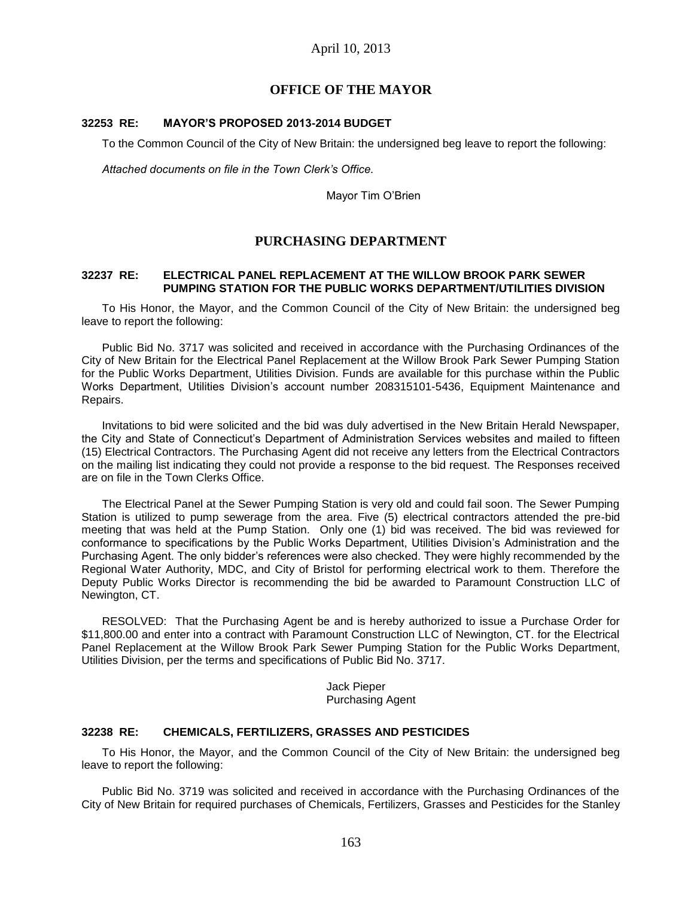## **OFFICE OF THE MAYOR**

#### **32253 RE: MAYOR'S PROPOSED 2013-2014 BUDGET**

To the Common Council of the City of New Britain: the undersigned beg leave to report the following:

*Attached documents on file in the Town Clerk's Office.*

Mayor Tim O'Brien

## **PURCHASING DEPARTMENT**

#### **32237 RE: ELECTRICAL PANEL REPLACEMENT AT THE WILLOW BROOK PARK SEWER PUMPING STATION FOR THE PUBLIC WORKS DEPARTMENT/UTILITIES DIVISION**

To His Honor, the Mayor, and the Common Council of the City of New Britain: the undersigned beg leave to report the following:

Public Bid No. 3717 was solicited and received in accordance with the Purchasing Ordinances of the City of New Britain for the Electrical Panel Replacement at the Willow Brook Park Sewer Pumping Station for the Public Works Department, Utilities Division. Funds are available for this purchase within the Public Works Department, Utilities Division's account number 208315101-5436, Equipment Maintenance and Repairs.

Invitations to bid were solicited and the bid was duly advertised in the New Britain Herald Newspaper, the City and State of Connecticut's Department of Administration Services websites and mailed to fifteen (15) Electrical Contractors. The Purchasing Agent did not receive any letters from the Electrical Contractors on the mailing list indicating they could not provide a response to the bid request. The Responses received are on file in the Town Clerks Office.

The Electrical Panel at the Sewer Pumping Station is very old and could fail soon. The Sewer Pumping Station is utilized to pump sewerage from the area. Five (5) electrical contractors attended the pre-bid meeting that was held at the Pump Station. Only one (1) bid was received. The bid was reviewed for conformance to specifications by the Public Works Department, Utilities Division's Administration and the Purchasing Agent. The only bidder's references were also checked. They were highly recommended by the Regional Water Authority, MDC, and City of Bristol for performing electrical work to them. Therefore the Deputy Public Works Director is recommending the bid be awarded to Paramount Construction LLC of Newington, CT.

RESOLVED: That the Purchasing Agent be and is hereby authorized to issue a Purchase Order for \$11,800.00 and enter into a contract with Paramount Construction LLC of Newington, CT. for the Electrical Panel Replacement at the Willow Brook Park Sewer Pumping Station for the Public Works Department, Utilities Division, per the terms and specifications of Public Bid No. 3717.

> Jack Pieper Purchasing Agent

#### **32238 RE: CHEMICALS, FERTILIZERS, GRASSES AND PESTICIDES**

To His Honor, the Mayor, and the Common Council of the City of New Britain: the undersigned beg leave to report the following:

Public Bid No. 3719 was solicited and received in accordance with the Purchasing Ordinances of the City of New Britain for required purchases of Chemicals, Fertilizers, Grasses and Pesticides for the Stanley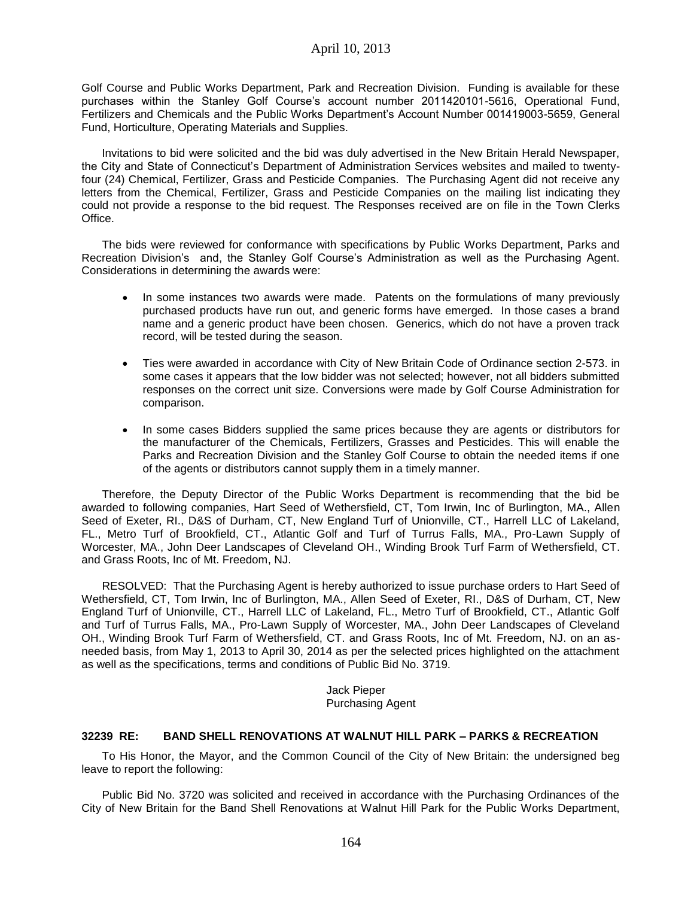Golf Course and Public Works Department, Park and Recreation Division. Funding is available for these purchases within the Stanley Golf Course's account number 2011420101-5616, Operational Fund, Fertilizers and Chemicals and the Public Works Department's Account Number 001419003-5659, General Fund, Horticulture, Operating Materials and Supplies.

Invitations to bid were solicited and the bid was duly advertised in the New Britain Herald Newspaper, the City and State of Connecticut's Department of Administration Services websites and mailed to twentyfour (24) Chemical, Fertilizer, Grass and Pesticide Companies. The Purchasing Agent did not receive any letters from the Chemical, Fertilizer, Grass and Pesticide Companies on the mailing list indicating they could not provide a response to the bid request. The Responses received are on file in the Town Clerks Office.

The bids were reviewed for conformance with specifications by Public Works Department, Parks and Recreation Division's and, the Stanley Golf Course's Administration as well as the Purchasing Agent. Considerations in determining the awards were:

- In some instances two awards were made. Patents on the formulations of many previously purchased products have run out, and generic forms have emerged. In those cases a brand name and a generic product have been chosen. Generics, which do not have a proven track record, will be tested during the season.
- Ties were awarded in accordance with City of New Britain Code of Ordinance section 2-573. in some cases it appears that the low bidder was not selected; however, not all bidders submitted responses on the correct unit size. Conversions were made by Golf Course Administration for comparison.
- In some cases Bidders supplied the same prices because they are agents or distributors for the manufacturer of the Chemicals, Fertilizers, Grasses and Pesticides. This will enable the Parks and Recreation Division and the Stanley Golf Course to obtain the needed items if one of the agents or distributors cannot supply them in a timely manner.

Therefore, the Deputy Director of the Public Works Department is recommending that the bid be awarded to following companies, Hart Seed of Wethersfield, CT, Tom Irwin, Inc of Burlington, MA., Allen Seed of Exeter, RI., D&S of Durham, CT, New England Turf of Unionville, CT., Harrell LLC of Lakeland, FL., Metro Turf of Brookfield, CT., Atlantic Golf and Turf of Turrus Falls, MA., Pro-Lawn Supply of Worcester, MA., John Deer Landscapes of Cleveland OH., Winding Brook Turf Farm of Wethersfield, CT. and Grass Roots, Inc of Mt. Freedom, NJ.

RESOLVED: That the Purchasing Agent is hereby authorized to issue purchase orders to Hart Seed of Wethersfield, CT, Tom Irwin, Inc of Burlington, MA., Allen Seed of Exeter, RI., D&S of Durham, CT, New England Turf of Unionville, CT., Harrell LLC of Lakeland, FL., Metro Turf of Brookfield, CT., Atlantic Golf and Turf of Turrus Falls, MA., Pro-Lawn Supply of Worcester, MA., John Deer Landscapes of Cleveland OH., Winding Brook Turf Farm of Wethersfield, CT. and Grass Roots, Inc of Mt. Freedom, NJ. on an asneeded basis, from May 1, 2013 to April 30, 2014 as per the selected prices highlighted on the attachment as well as the specifications, terms and conditions of Public Bid No. 3719.

> Jack Pieper Purchasing Agent

## **32239 RE: BAND SHELL RENOVATIONS AT WALNUT HILL PARK – PARKS & RECREATION**

To His Honor, the Mayor, and the Common Council of the City of New Britain: the undersigned beg leave to report the following:

Public Bid No. 3720 was solicited and received in accordance with the Purchasing Ordinances of the City of New Britain for the Band Shell Renovations at Walnut Hill Park for the Public Works Department,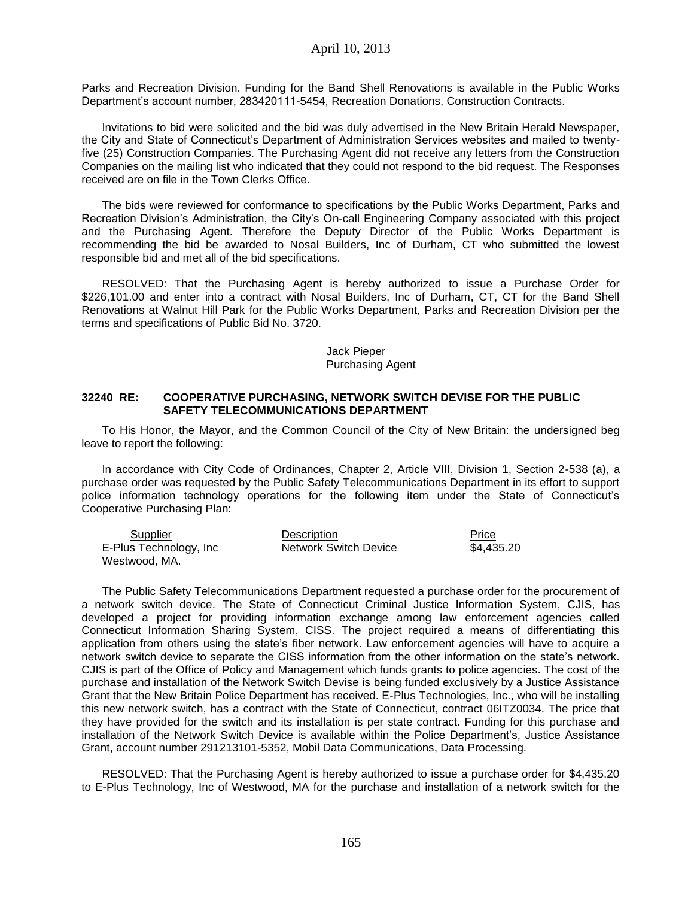Parks and Recreation Division. Funding for the Band Shell Renovations is available in the Public Works Department's account number, 283420111-5454, Recreation Donations, Construction Contracts.

Invitations to bid were solicited and the bid was duly advertised in the New Britain Herald Newspaper, the City and State of Connecticut's Department of Administration Services websites and mailed to twentyfive (25) Construction Companies. The Purchasing Agent did not receive any letters from the Construction Companies on the mailing list who indicated that they could not respond to the bid request. The Responses received are on file in the Town Clerks Office.

The bids were reviewed for conformance to specifications by the Public Works Department, Parks and Recreation Division's Administration, the City's On-call Engineering Company associated with this project and the Purchasing Agent. Therefore the Deputy Director of the Public Works Department is recommending the bid be awarded to Nosal Builders, Inc of Durham, CT who submitted the lowest responsible bid and met all of the bid specifications.

RESOLVED: That the Purchasing Agent is hereby authorized to issue a Purchase Order for \$226,101.00 and enter into a contract with Nosal Builders, Inc of Durham, CT, CT for the Band Shell Renovations at Walnut Hill Park for the Public Works Department, Parks and Recreation Division per the terms and specifications of Public Bid No. 3720.

#### Jack Pieper Purchasing Agent

#### **32240 RE: COOPERATIVE PURCHASING, NETWORK SWITCH DEVISE FOR THE PUBLIC SAFETY TELECOMMUNICATIONS DEPARTMENT**

To His Honor, the Mayor, and the Common Council of the City of New Britain: the undersigned beg leave to report the following:

In accordance with City Code of Ordinances, Chapter 2, Article VIII, Division 1, Section 2-538 (a), a purchase order was requested by the Public Safety Telecommunications Department in its effort to support police information technology operations for the following item under the State of Connecticut's Cooperative Purchasing Plan:

| Supplier               | Description                  | Price      |
|------------------------|------------------------------|------------|
| E-Plus Technology, Inc | <b>Network Switch Device</b> | \$4.435.20 |
| Westwood, MA.          |                              |            |

The Public Safety Telecommunications Department requested a purchase order for the procurement of a network switch device. The State of Connecticut Criminal Justice Information System, CJIS, has developed a project for providing information exchange among law enforcement agencies called Connecticut Information Sharing System, CISS. The project required a means of differentiating this application from others using the state's fiber network. Law enforcement agencies will have to acquire a network switch device to separate the CISS information from the other information on the state's network. CJIS is part of the Office of Policy and Management which funds grants to police agencies. The cost of the purchase and installation of the Network Switch Devise is being funded exclusively by a Justice Assistance Grant that the New Britain Police Department has received. E-Plus Technologies, Inc., who will be installing this new network switch, has a contract with the State of Connecticut, contract 06ITZ0034. The price that they have provided for the switch and its installation is per state contract. Funding for this purchase and installation of the Network Switch Device is available within the Police Department's, Justice Assistance Grant, account number 291213101-5352, Mobil Data Communications, Data Processing.

RESOLVED: That the Purchasing Agent is hereby authorized to issue a purchase order for \$4,435.20 to E-Plus Technology, Inc of Westwood, MA for the purchase and installation of a network switch for the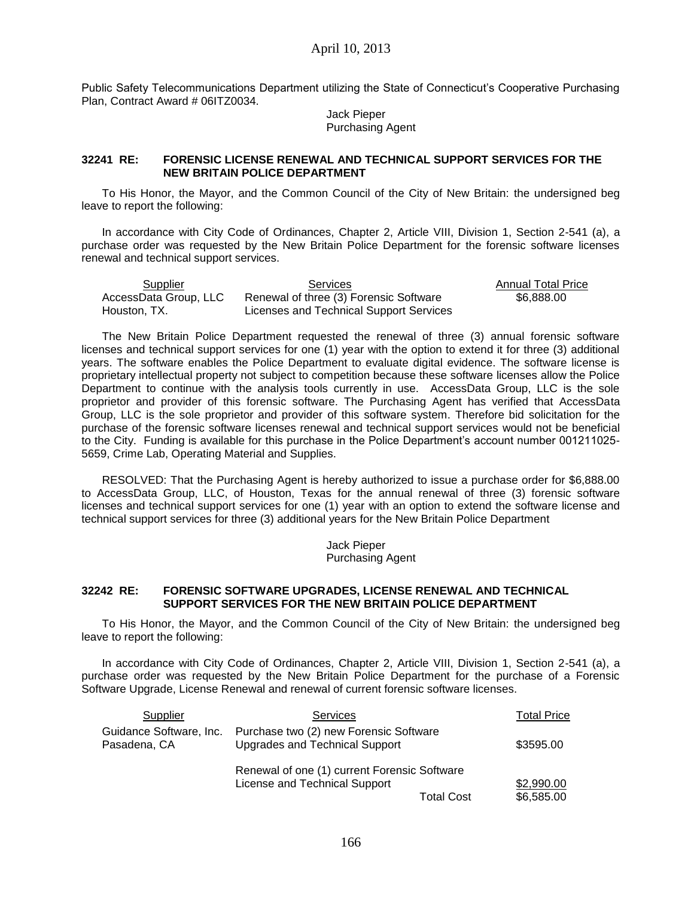Public Safety Telecommunications Department utilizing the State of Connecticut's Cooperative Purchasing Plan, Contract Award # 06ITZ0034.

> Jack Pieper Purchasing Agent

### **32241 RE: FORENSIC LICENSE RENEWAL AND TECHNICAL SUPPORT SERVICES FOR THE NEW BRITAIN POLICE DEPARTMENT**

To His Honor, the Mayor, and the Common Council of the City of New Britain: the undersigned beg leave to report the following:

In accordance with City Code of Ordinances, Chapter 2, Article VIII, Division 1, Section 2-541 (a), a purchase order was requested by the New Britain Police Department for the forensic software licenses renewal and technical support services.

Supplier Services Contract Annual Total Price AccessData Group, LLC Houston, TX. Renewal of three (3) Forensic Software Licenses and Technical Support Services \$6,888.00

The New Britain Police Department requested the renewal of three (3) annual forensic software licenses and technical support services for one (1) year with the option to extend it for three (3) additional years. The software enables the Police Department to evaluate digital evidence. The software license is proprietary intellectual property not subject to competition because these software licenses allow the Police Department to continue with the analysis tools currently in use. AccessData Group, LLC is the sole proprietor and provider of this forensic software. The Purchasing Agent has verified that AccessData Group, LLC is the sole proprietor and provider of this software system. Therefore bid solicitation for the purchase of the forensic software licenses renewal and technical support services would not be beneficial to the City. Funding is available for this purchase in the Police Department's account number 001211025- 5659, Crime Lab, Operating Material and Supplies.

RESOLVED: That the Purchasing Agent is hereby authorized to issue a purchase order for \$6,888.00 to AccessData Group, LLC, of Houston, Texas for the annual renewal of three (3) forensic software licenses and technical support services for one (1) year with an option to extend the software license and technical support services for three (3) additional years for the New Britain Police Department

> Jack Pieper Purchasing Agent

### **32242 RE: FORENSIC SOFTWARE UPGRADES, LICENSE RENEWAL AND TECHNICAL SUPPORT SERVICES FOR THE NEW BRITAIN POLICE DEPARTMENT**

To His Honor, the Mayor, and the Common Council of the City of New Britain: the undersigned beg leave to report the following:

In accordance with City Code of Ordinances, Chapter 2, Article VIII, Division 1, Section 2-541 (a), a purchase order was requested by the New Britain Police Department for the purchase of a Forensic Software Upgrade, License Renewal and renewal of current forensic software licenses.

| Supplier                                | <b>Services</b>                                                               |                   | <b>Total Price</b>       |
|-----------------------------------------|-------------------------------------------------------------------------------|-------------------|--------------------------|
| Guidance Software, Inc.<br>Pasadena, CA | \$3595.00                                                                     |                   |                          |
|                                         | Renewal of one (1) current Forensic Software<br>License and Technical Support | <b>Total Cost</b> | \$2,990.00<br>\$6,585.00 |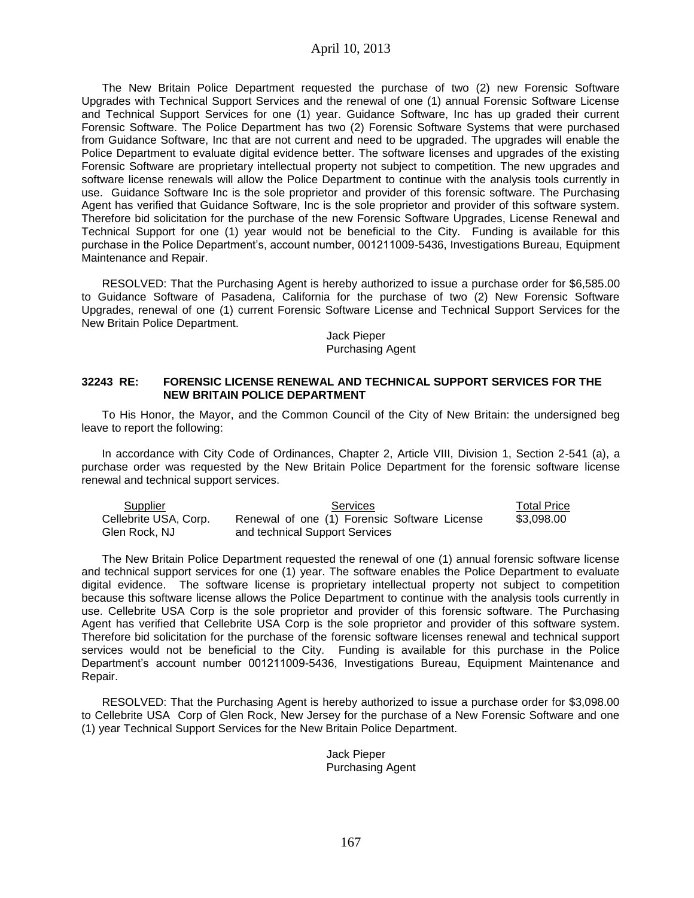## April 10, 2013

The New Britain Police Department requested the purchase of two (2) new Forensic Software Upgrades with Technical Support Services and the renewal of one (1) annual Forensic Software License and Technical Support Services for one (1) year. Guidance Software, Inc has up graded their current Forensic Software. The Police Department has two (2) Forensic Software Systems that were purchased from Guidance Software, Inc that are not current and need to be upgraded. The upgrades will enable the Police Department to evaluate digital evidence better. The software licenses and upgrades of the existing Forensic Software are proprietary intellectual property not subject to competition. The new upgrades and software license renewals will allow the Police Department to continue with the analysis tools currently in use. Guidance Software Inc is the sole proprietor and provider of this forensic software. The Purchasing Agent has verified that Guidance Software, Inc is the sole proprietor and provider of this software system. Therefore bid solicitation for the purchase of the new Forensic Software Upgrades, License Renewal and Technical Support for one (1) year would not be beneficial to the City. Funding is available for this purchase in the Police Department's, account number, 001211009-5436, Investigations Bureau, Equipment Maintenance and Repair.

RESOLVED: That the Purchasing Agent is hereby authorized to issue a purchase order for \$6,585.00 to Guidance Software of Pasadena, California for the purchase of two (2) New Forensic Software Upgrades, renewal of one (1) current Forensic Software License and Technical Support Services for the New Britain Police Department.

> Jack Pieper Purchasing Agent

#### **32243 RE: FORENSIC LICENSE RENEWAL AND TECHNICAL SUPPORT SERVICES FOR THE NEW BRITAIN POLICE DEPARTMENT**

To His Honor, the Mayor, and the Common Council of the City of New Britain: the undersigned beg leave to report the following:

In accordance with City Code of Ordinances, Chapter 2, Article VIII, Division 1, Section 2-541 (a), a purchase order was requested by the New Britain Police Department for the forensic software license renewal and technical support services.

| Supplier              | Services                                     | <b>Total Price</b> |
|-----------------------|----------------------------------------------|--------------------|
| Cellebrite USA, Corp. | Renewal of one (1) Forensic Software License | \$3.098.00         |
| Glen Rock, NJ         | and technical Support Services               |                    |

The New Britain Police Department requested the renewal of one (1) annual forensic software license and technical support services for one (1) year. The software enables the Police Department to evaluate digital evidence. The software license is proprietary intellectual property not subject to competition because this software license allows the Police Department to continue with the analysis tools currently in use. Cellebrite USA Corp is the sole proprietor and provider of this forensic software. The Purchasing Agent has verified that Cellebrite USA Corp is the sole proprietor and provider of this software system. Therefore bid solicitation for the purchase of the forensic software licenses renewal and technical support services would not be beneficial to the City. Funding is available for this purchase in the Police Department's account number 001211009-5436, Investigations Bureau, Equipment Maintenance and Repair.

RESOLVED: That the Purchasing Agent is hereby authorized to issue a purchase order for \$3,098.00 to Cellebrite USA Corp of Glen Rock, New Jersey for the purchase of a New Forensic Software and one (1) year Technical Support Services for the New Britain Police Department.

> Jack Pieper Purchasing Agent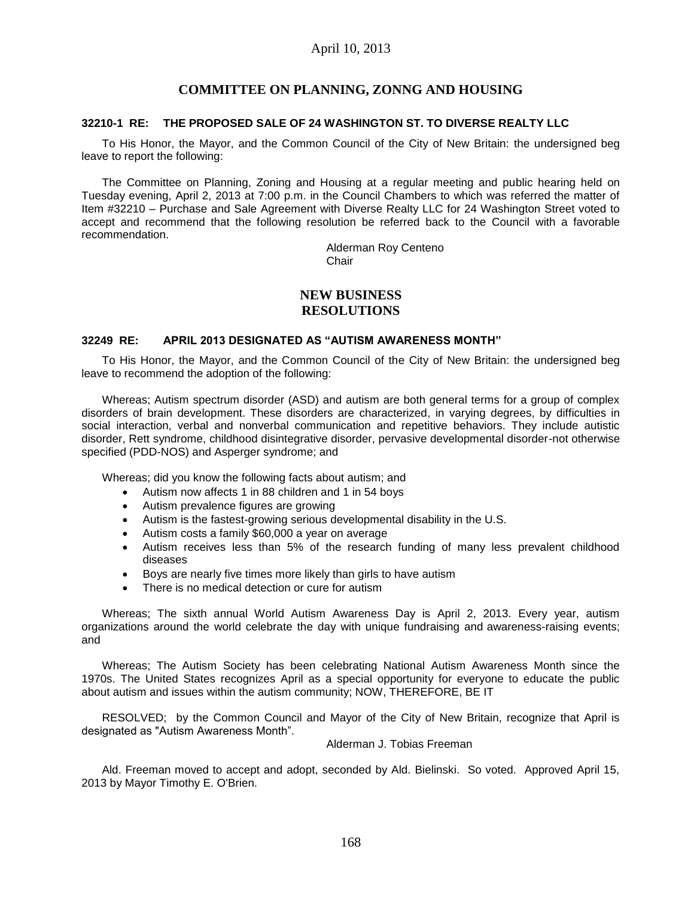## **COMMITTEE ON PLANNING, ZONNG AND HOUSING**

### **32210-1 RE: THE PROPOSED SALE OF 24 WASHINGTON ST. TO DIVERSE REALTY LLC**

To His Honor, the Mayor, and the Common Council of the City of New Britain: the undersigned beg leave to report the following:

The Committee on Planning, Zoning and Housing at a regular meeting and public hearing held on Tuesday evening, April 2, 2013 at 7:00 p.m. in the Council Chambers to which was referred the matter of Item #32210 – Purchase and Sale Agreement with Diverse Realty LLC for 24 Washington Street voted to accept and recommend that the following resolution be referred back to the Council with a favorable recommendation.

> Alderman Roy Centeno Chair

## **NEW BUSINESS RESOLUTIONS**

### **32249 RE: APRIL 2013 DESIGNATED AS "AUTISM AWARENESS MONTH"**

To His Honor, the Mayor, and the Common Council of the City of New Britain: the undersigned beg leave to recommend the adoption of the following:

Whereas; Autism spectrum disorder (ASD) and autism are both general terms for a group of complex disorders of brain development. These disorders are characterized, in varying degrees, by difficulties in social interaction, verbal and nonverbal communication and repetitive behaviors. They include autistic disorder, Rett syndrome, childhood disintegrative disorder, pervasive developmental disorder-not otherwise specified (PDD-NOS) and Asperger syndrome; and

Whereas; did you know the following facts about autism; and

- Autism now affects 1 in 88 children and 1 in 54 boys
- Autism prevalence figures are growing
- Autism is the fastest-growing serious developmental disability in the U.S.
- Autism costs a family \$60,000 a year on average
- Autism receives less than 5% of the research funding of many less prevalent childhood diseases
- Boys are nearly five times more likely than girls to have autism
- There is no medical detection or cure for autism

Whereas; The sixth annual World Autism Awareness Day is April 2, 2013. Every year, autism organizations around the world celebrate the day with unique fundraising and awareness-raising events; and

Whereas; The Autism Society has been celebrating National Autism Awareness Month since the 1970s. The United States recognizes April as a special opportunity for everyone to educate the public about autism and issues within the autism community; NOW, THEREFORE, BE IT

RESOLVED; by the Common Council and Mayor of the City of New Britain, recognize that April is designated as "Autism Awareness Month".

#### Alderman J. Tobias Freeman

Ald. Freeman moved to accept and adopt, seconded by Ald. Bielinski. So voted. Approved April 15, 2013 by Mayor Timothy E. O'Brien.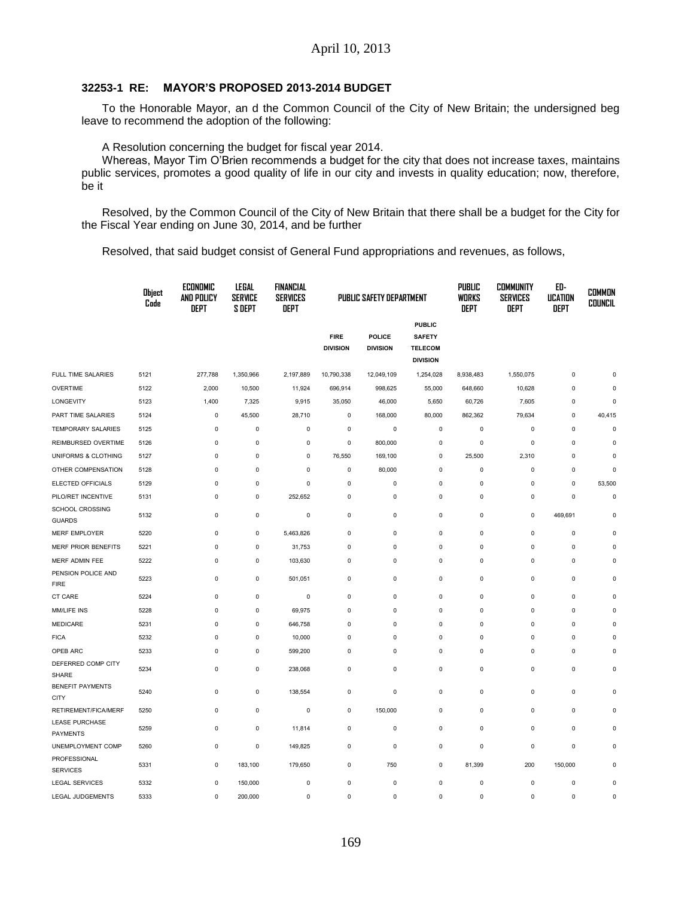### **32253-1 RE: MAYOR'S PROPOSED 2013-2014 BUDGET**

To the Honorable Mayor, an d the Common Council of the City of New Britain; the undersigned beg leave to recommend the adoption of the following:

A Resolution concerning the budget for fiscal year 2014.

Whereas, Mayor Tim O'Brien recommends a budget for the city that does not increase taxes, maintains public services, promotes a good quality of life in our city and invests in quality education; now, therefore, be it

Resolved, by the Common Council of the City of New Britain that there shall be a budget for the City for the Fiscal Year ending on June 30, 2014, and be further

Resolved, that said budget consist of General Fund appropriations and revenues, as follows,

|                                          | Object<br>Code | ECONOMIC<br>AND POLICY<br><b>DEPT</b> | LEGAL<br><b>SERVICE</b><br><b>S DEPT</b> | <b>FINANCIAL</b><br><b>SERVICES</b><br><b>DEPT</b> | <b>PUBLIC SAFETY DEPARTMENT</b> |                                  |                                                                     |             | <b>COMMUNITY</b><br><b>SERVICES</b><br>DEPT | ED-<br><b>UCATION</b><br>DEPT | <b>COMMON</b><br><b>COUNCIL</b> |
|------------------------------------------|----------------|---------------------------------------|------------------------------------------|----------------------------------------------------|---------------------------------|----------------------------------|---------------------------------------------------------------------|-------------|---------------------------------------------|-------------------------------|---------------------------------|
|                                          |                |                                       |                                          |                                                    | <b>FIRE</b><br><b>DIVISION</b>  | <b>POLICE</b><br><b>DIVISION</b> | <b>PUBLIC</b><br><b>SAFETY</b><br><b>TELECOM</b><br><b>DIVISION</b> |             |                                             |                               |                                 |
| FULL TIME SALARIES                       | 5121           | 277,788                               | 1,350,966                                | 2,197,889                                          | 10,790,338                      | 12,049,109                       | 1,254,028                                                           | 8,938,483   | 1,550,075                                   | $\mathsf 0$                   | $\bf 0$                         |
| <b>OVERTIME</b>                          | 5122           | 2,000                                 | 10,500                                   | 11,924                                             | 696,914                         | 998,625                          | 55,000                                                              | 648,660     | 10,628                                      | $\mathsf 0$                   | $\bf 0$                         |
| LONGEVITY                                | 5123           | 1,400                                 | 7,325                                    | 9,915                                              | 35,050                          | 46,000                           | 5,650                                                               | 60,726      | 7,605                                       | $\mathsf 0$                   | $\mathbf 0$                     |
| PART TIME SALARIES                       | 5124           | $\pmb{0}$                             | 45,500                                   | 28,710                                             | $\mathbf 0$                     | 168,000                          | 80,000                                                              | 862,362     | 79,634                                      | $\mathsf 0$                   | 40,415                          |
| TEMPORARY SALARIES                       | 5125           | $\mathbf 0$                           | 0                                        | $\pmb{0}$                                          | $\pmb{0}$                       | $\mathbf 0$                      | $\mathbf 0$                                                         | $\bf 0$     | $\mathbf 0$                                 | $\mathbf 0$                   | $\mathbf 0$                     |
| REIMBURSED OVERTIME                      | 5126           | $\mathbf 0$                           | 0                                        | 0                                                  | $\pmb{0}$                       | 800,000                          | $\pmb{0}$                                                           | $\bf 0$     | $\pmb{0}$                                   | $\mathbf 0$                   | $\bf 0$                         |
| UNIFORMS & CLOTHING                      | 5127           | $\mathbf 0$                           | $\mathbf 0$                              | 0                                                  | 76,550                          | 169,100                          | 0                                                                   | 25,500      | 2,310                                       | $\mathbf 0$                   | $\mathbf 0$                     |
| OTHER COMPENSATION                       | 5128           | $\pmb{0}$                             | 0                                        | 0                                                  | $\mathsf 0$                     | 80,000                           | $\pmb{0}$                                                           | $\mathbf 0$ | $\pmb{0}$                                   | $\mathbf 0$                   | $\mathbf 0$                     |
| ELECTED OFFICIALS                        | 5129           | $\mathbf 0$                           | 0                                        | $\mathbf 0$                                        | $\pmb{0}$                       | $\pmb{0}$                        | $\pmb{0}$                                                           | $\bf 0$     | $\pmb{0}$                                   | $\mathbf 0$                   | 53,500                          |
| PILO/RET INCENTIVE                       | 5131           | $\mathbf 0$                           | $\mathsf 0$                              | 252,652                                            | $\pmb{0}$                       | $\pmb{0}$                        | $\mathbf 0$                                                         | $\bf 0$     | $\mathbf 0$                                 | $\mathbf 0$                   | $\mathbf 0$                     |
| SCHOOL CROSSING<br><b>GUARDS</b>         | 5132           | $\pmb{0}$                             | $\mathsf 0$                              | $\pmb{0}$                                          | $\pmb{0}$                       | $\mathbf 0$                      | $\pmb{0}$                                                           | $\mathbf 0$ | $\pmb{0}$                                   | 469,691                       | $\pmb{0}$                       |
| <b>MERF EMPLOYER</b>                     | 5220           | $\mathbf 0$                           | $\mathsf 0$                              | 5,463,826                                          | $\mathsf 0$                     | $\pmb{0}$                        | $\pmb{0}$                                                           | $\mathbf 0$ | $\mathbf 0$                                 | $\mathbf 0$                   | $\pmb{0}$                       |
| MERF PRIOR BENEFITS                      | 5221           | $\mathbf 0$                           | 0                                        | 31,753                                             | $\pmb{0}$                       | $\mathbf 0$                      | $\pmb{0}$                                                           | $\bf 0$     | $\pmb{0}$                                   | $\mathsf 0$                   | $\mathbf 0$                     |
| MERF ADMIN FEE                           | 5222           | $\pmb{0}$                             | 0                                        | 103,630                                            | $\pmb{0}$                       | $\mathbf 0$                      | $\pmb{0}$                                                           | $\bf 0$     | $\mathbf 0$                                 | $\mathsf 0$                   | $\Omega$                        |
| PENSION POLICE AND<br><b>FIRE</b>        | 5223           | $\mathbf 0$                           | $\mathbf 0$                              | 501,051                                            | $\mathbf 0$                     | $\mathbf 0$                      | $\mathbf 0$                                                         | $\mathbf 0$ | $\mathbf 0$                                 | $\mathbf 0$                   | $\mathbf 0$                     |
| CT CARE                                  | 5224           | $\mathbf 0$                           | $\pmb{0}$                                | $\pmb{0}$                                          | $\mathsf 0$                     | $\pmb{0}$                        | $\pmb{0}$                                                           | $\mathbf 0$ | $\pmb{0}$                                   | $\mathbf 0$                   | $\pmb{0}$                       |
| MM/LIFE INS                              | 5228           | $\mathbf 0$                           | $\mathbf 0$                              | 69,975                                             | $\mathsf 0$                     | $\mathbf 0$                      | $\mathbf 0$                                                         | $\mathbf 0$ | $\mathbf 0$                                 | $\mathbf 0$                   | $\mathbf 0$                     |
| MEDICARE                                 | 5231           | $\mathbf 0$                           | 0                                        | 646,758                                            | $\mathsf 0$                     | $\mathbf 0$                      | $\mathbf 0$                                                         | 0           | $\mathbf 0$                                 | $\mathbf 0$                   | $\Omega$                        |
| <b>FICA</b>                              | 5232           | $\mathbf 0$                           | $\bf 0$                                  | 10,000                                             | $\pmb{0}$                       | $\mathbf 0$                      | 0                                                                   | $\bf 0$     | 0                                           | $\mathsf 0$                   | $\mathbf 0$                     |
| OPEB ARC                                 | 5233           | $\pmb{0}$                             | 0                                        | 599,200                                            | $\pmb{0}$                       | $\mathbf 0$                      | $\mathbf 0$                                                         | $\mathbf 0$ | $\mathbf 0$                                 | $\mathbf 0$                   | $\mathbf 0$                     |
| DEFERRED COMP CITY<br>SHARE              | 5234           | $\pmb{0}$                             | 0                                        | 238,068                                            | $\mathsf 0$                     | $\pmb{0}$                        | $\mathbf 0$                                                         | $\bf 0$     | $\pmb{0}$                                   | $\mathbf 0$                   | $\pmb{0}$                       |
| <b>BENEFIT PAYMENTS</b><br><b>CITY</b>   | 5240           | $\pmb{0}$                             | $\pmb{0}$                                | 138,554                                            | $\pmb{0}$                       | $\pmb{0}$                        | $\pmb{0}$                                                           | $\mathbf 0$ | $\pmb{0}$                                   | $\mathbf 0$                   | $\pmb{0}$                       |
| RETIREMENT/FICA/MERF                     | 5250           | $\pmb{0}$                             | $\mathbf 0$                              | 0                                                  | $\mathbf 0$                     | 150,000                          | $\mathbf 0$                                                         | $\bf 0$     | $\pmb{0}$                                   | $\mathsf 0$                   | $\pmb{0}$                       |
| <b>LEASE PURCHASE</b><br><b>PAYMENTS</b> | 5259           | $\pmb{0}$                             | 0                                        | 11,814                                             | $\pmb{0}$                       | $\mathbf 0$                      | $\pmb{0}$                                                           | $\bf 0$     | $\pmb{0}$                                   | $\mathsf 0$                   | $\mathbf 0$                     |
| UNEMPLOYMENT COMP                        | 5260           | $\pmb{0}$                             | $\mathsf 0$                              | 149,825                                            | $\pmb{0}$                       | $\pmb{0}$                        | $\pmb{0}$                                                           | $\mathbf 0$ | $\pmb{0}$                                   | $\mathbf 0$                   | $\pmb{0}$                       |
| PROFESSIONAL<br><b>SERVICES</b>          | 5331           | $\pmb{0}$                             | 183,100                                  | 179,650                                            | $\pmb{0}$                       | 750                              | $\pmb{0}$                                                           | 81,399      | 200                                         | 150,000                       | $\mathbf 0$                     |
| <b>LEGAL SERVICES</b>                    | 5332           | $\pmb{0}$                             | 150,000                                  | $\pmb{0}$                                          | $\pmb{0}$                       | $\pmb{0}$                        | $\pmb{0}$                                                           | $\pmb{0}$   | $\pmb{0}$                                   | $\mathbf 0$                   | $\pmb{0}$                       |
| <b>LEGAL JUDGEMENTS</b>                  | 5333           | $\mathbf 0$                           | 200,000                                  | $\mathbf 0$                                        | $\mathbf 0$                     | $\mathbf 0$                      | $\mathbf 0$                                                         | $\mathbf 0$ | $\mathbf 0$                                 | $\mathbf 0$                   | $\mathbf 0$                     |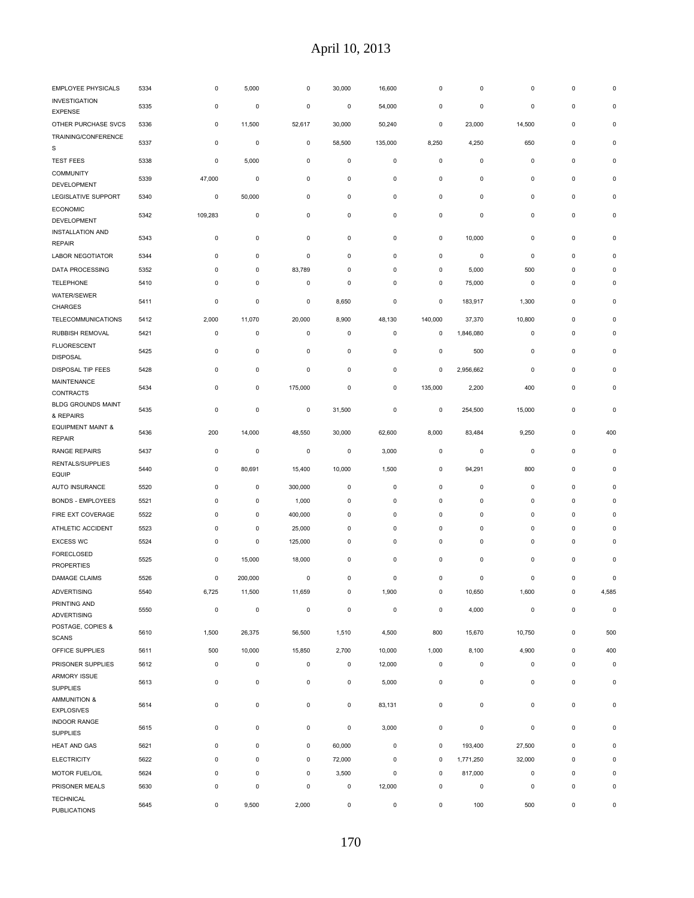| EMPLOYEE PHYSICALS                            | 5334 | 0           | 5,000               | 0         | 30,000      | 16,600      | 0           | 0           | 0           | 0           | 0           |
|-----------------------------------------------|------|-------------|---------------------|-----------|-------------|-------------|-------------|-------------|-------------|-------------|-------------|
| <b>INVESTIGATION</b><br><b>EXPENSE</b>        | 5335 | 0           | 0                   | 0         | 0           | 54,000      | 0           | 0           | 0           | 0           | $\pmb{0}$   |
| OTHER PURCHASE SVCS                           | 5336 | 0           | 11,500              | 52,617    | 30,000      | 50,240      | 0           | 23,000      | 14,500      | 0           | $\pmb{0}$   |
| TRAINING/CONFERENCE<br>S                      | 5337 | 0           | 0                   | 0         | 58,500      | 135,000     | 8,250       | 4,250       | 650         | 0           | 0           |
| <b>TEST FEES</b>                              | 5338 | 0           | 5,000               | 0         | 0           | $\mathbf 0$ | 0           | $\pmb{0}$   | $\pmb{0}$   | $\pmb{0}$   | $\bf 0$     |
| COMMUNITY<br>DEVELOPMENT                      | 5339 | 47,000      | 0                   | 0         | 0           | $\mathbf 0$ | 0           | $\pmb{0}$   | $\mathbf 0$ | 0           | 0           |
| LEGISLATIVE SUPPORT                           | 5340 | 0           | 50,000              | 0         | 0           | 0           | 0           | 0           | 0           | 0           | $\bf 0$     |
| <b>ECONOMIC</b><br>DEVELOPMENT                | 5342 | 109,283     | $\pmb{0}$           | $\pmb{0}$ | $\pmb{0}$   | $\mathbf 0$ | 0           | $\pmb{0}$   | 0           | $\pmb{0}$   | $\pmb{0}$   |
| <b>INSTALLATION AND</b>                       | 5343 | 0           | 0                   | 0         | 0           | 0           | 0           | 10,000      | 0           | 0           | $\bf 0$     |
| <b>REPAIR</b>                                 |      |             |                     |           |             |             |             |             |             |             |             |
| <b>LABOR NEGOTIATOR</b>                       | 5344 | $\pmb{0}$   | $\mathbf 0$         | $\pmb{0}$ | $\pmb{0}$   | $\mathbf 0$ | 0           | $\pmb{0}$   | $\pmb{0}$   | $\pmb{0}$   | $\bf 0$     |
| DATA PROCESSING                               | 5352 | 0           | $\pmb{0}$           | 83,789    | $\pmb{0}$   | $\pmb{0}$   | 0           | 5,000       | 500         | $\pmb{0}$   | $\bf 0$     |
| <b>TELEPHONE</b>                              | 5410 | $\pmb{0}$   | $\pmb{0}$           | $\pmb{0}$ | $\pmb{0}$   | $\pmb{0}$   | 0           | 75,000      | $\pmb{0}$   | $\pmb{0}$   | $\bf 0$     |
| WATER/SEWER<br>CHARGES                        | 5411 | 0           | $\mathbf 0$         | 0         | 8,650       | $\mathbf 0$ | 0           | 183,917     | 1,300       | 0           | 0           |
| <b>TELECOMMUNICATIONS</b>                     | 5412 | 2,000       | 11,070              | 20,000    | 8,900       | 48,130      | 140,000     | 37,370      | 10,800      | 0           | $\bf 0$     |
| RUBBISH REMOVAL                               | 5421 | 0           | 0                   | 0         | 0           | 0           | 0           | 1,846,080   | 0           | 0           | 0           |
| <b>FLUORESCENT</b><br><b>DISPOSAL</b>         | 5425 | $\pmb{0}$   | $\pmb{0}$           | $\pmb{0}$ | $\pmb{0}$   | $\mathbf 0$ | 0           | 500         | $\pmb{0}$   | $\pmb{0}$   | $\pmb{0}$   |
| DISPOSAL TIP FEES                             | 5428 | 0           | 0                   | 0         | 0           | 0           | 0           | 2,956,662   | $\pmb{0}$   | 0           | 0           |
| MAINTENANCE<br>CONTRACTS                      | 5434 | 0           | 0                   | 175,000   | 0           | 0           | 135,000     | 2,200       | 400         | 0           | $\bf 0$     |
| <b>BLDG GROUNDS MAINT</b><br>& REPAIRS        | 5435 | 0           | $\pmb{0}$           | 0         | 31,500      | $\pmb{0}$   | 0           | 254,500     | 15,000      | 0           | 0           |
| <b>EQUIPMENT MAINT &amp;</b><br><b>REPAIR</b> | 5436 | 200         | 14,000              | 48,550    | 30,000      | 62,600      | 8,000       | 83,484      | 9,250       | $\pmb{0}$   | 400         |
| RANGE REPAIRS                                 | 5437 | 0           | $\pmb{0}$           | 0         | 0           | 3,000       | 0           | 0           | $\pmb{0}$   | 0           | 0           |
| RENTALS/SUPPLIES<br><b>EQUIP</b>              | 5440 | 0           | 80,691              | 15,400    | 10,000      | 1,500       | 0           | 94,291      | 800         | 0           | $\bf 0$     |
| <b>AUTO INSURANCE</b>                         | 5520 | $\pmb{0}$   | $\mathbf 0$         | 300,000   | $\pmb{0}$   | $\pmb{0}$   | 0           | $\pmb{0}$   | $\pmb{0}$   | $\pmb{0}$   | $\bf 0$     |
| <b>BONDS - EMPLOYEES</b>                      | 5521 | $\pmb{0}$   | $\mathbf 0$         | 1,000     | 0           | $\pmb{0}$   | 0           | $\pmb{0}$   | $\pmb{0}$   | $\pmb{0}$   | $\bf 0$     |
| FIRE EXT COVERAGE                             | 5522 | 0           | 0                   | 400,000   | 0           | 0           | 0           | 0           | $\mathsf 0$ | $\pmb{0}$   | $\bf 0$     |
| ATHLETIC ACCIDENT                             | 5523 | 0           | 0                   | 25,000    | 0           | 0           | 0           | 0           | 0           | 0           | $\bf 0$     |
| <b>EXCESS WC</b>                              | 5524 | 0           | $\mathsf 0$         | 125,000   | 0           | 0           | 0           | 0           | $\pmb{0}$   | $\pmb{0}$   | $\bf 0$     |
| FORECLOSED<br><b>PROPERTIES</b>               | 5525 | 0           | 15,000              | 18,000    | 0           | 0           | 0           | 0           | 0           | 0           | 0           |
| DAMAGE CLAIMS                                 | 5526 | 0           | 200,000             | 0         | 0           | 0           | 0           | 0           | 0           | 0           | $\pmb{0}$   |
| <b>ADVERTISING</b>                            | 5540 | 6,725       | 11,500              | 11,659    |             | 1,900       |             | 10,650      | 1,600       |             | 4,585       |
| PRINTING AND<br><b>ADVERTISING</b>            | 5550 | $\mathsf 0$ | $\pmb{0}$           | $\pmb{0}$ | $\pmb{0}$   | $\pmb{0}$   | $\pmb{0}$   | 4,000       | $\pmb{0}$   | $\mathsf 0$ | $\pmb{0}$   |
| POSTAGE, COPIES &<br><b>SCANS</b>             | 5610 | 1,500       | 26,375              | 56,500    | 1,510       | 4,500       | 800         | 15,670      | 10,750      | $\mathsf 0$ | 500         |
| OFFICE SUPPLIES                               | 5611 | 500         | 10,000              | 15,850    | 2,700       | 10,000      | 1,000       | 8,100       | 4,900       | $\mathsf 0$ | 400         |
| PRISONER SUPPLIES                             | 5612 | $\mathbf 0$ | $\mathsf 0$         | 0         | $\mathsf 0$ | 12,000      | $\pmb{0}$   | $\pmb{0}$   | 0           | $\mathsf 0$ | $\mathbf 0$ |
| <b>ARMORY ISSUE</b>                           | 5613 | $\mathbf 0$ | 0                   | 0         | $\pmb{0}$   | 5,000       | 0           | $\mathsf 0$ | 0           | $\mathsf 0$ | 0           |
| <b>SUPPLIES</b>                               |      |             |                     |           |             |             |             |             |             |             |             |
| <b>AMMUNITION &amp;</b><br><b>EXPLOSIVES</b>  | 5614 | $\mathbf 0$ | $\mathsf 0$         | 0         | $\pmb{0}$   | 83,131      | $\pmb{0}$   | $\mathsf 0$ | $\mathsf 0$ | $\mathsf 0$ | 0           |
| <b>INDOOR RANGE</b><br><b>SUPPLIES</b>        | 5615 | 0           | $\pmb{0}$           | 0         | $\mathsf 0$ | 3,000       | 0           | $\pmb{0}$   | 0           | $\mathsf 0$ | $\bf 0$     |
| HEAT AND GAS                                  | 5621 | $\mathbf 0$ | $\mathsf{O}\xspace$ | $\pmb{0}$ | 60,000      | $\mathbf 0$ | $\mathbf 0$ | 193,400     | 27,500      | $\mathsf 0$ | $\mathsf 0$ |
| <b>ELECTRICITY</b>                            | 5622 | $\mathbf 0$ | $\pmb{0}$           | 0         | 72,000      | $\mathsf 0$ | 0           | 1,771,250   | 32,000      | $\pmb{0}$   | $\bf 0$     |
| MOTOR FUEL/OIL                                | 5624 | $\mathbf 0$ | $\mathbf 0$         | $\pmb{0}$ | 3,500       | $\mathbf 0$ | 0           | 817,000     | 0           | $\mathsf 0$ | $\mathbf 0$ |
| PRISONER MEALS                                | 5630 | $\mathbf 0$ | $\mathsf 0$         | $\pmb{0}$ | $\pmb{0}$   | 12,000      | 0           | 0           | $\pmb{0}$   | $\mathsf 0$ | $\pmb{0}$   |
| <b>TECHNICAL</b><br><b>PUBLICATIONS</b>       | 5645 | 0           | 9,500               | 2,000     | $\pmb{0}$   | $\mathsf 0$ | 0           | 100         | 500         | 0           | 0           |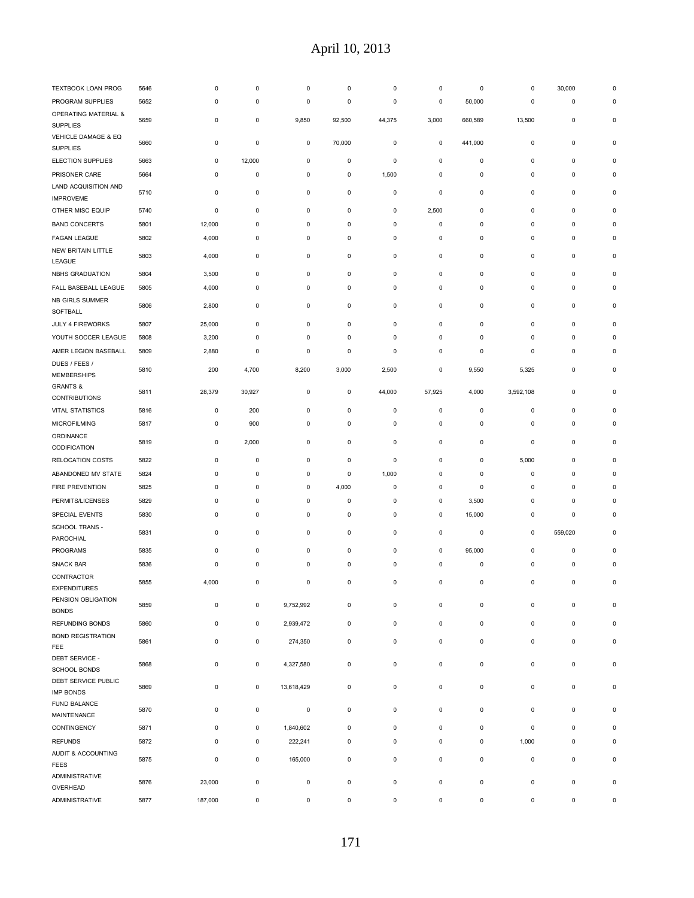| TEXTBOOK LOAN PROG                      | 5646 | 0           | $\pmb{0}$   | $\bf 0$     | 0            | $\pmb{0}$   | 0           | $\pmb{0}$   | 0           | 30,000       | $\Omega$    |
|-----------------------------------------|------|-------------|-------------|-------------|--------------|-------------|-------------|-------------|-------------|--------------|-------------|
| PROGRAM SUPPLIES                        | 5652 | 0           | $\pmb{0}$   | $\pmb{0}$   | $\pmb{0}$    | $\pmb{0}$   | 0           | 50,000      | $\pmb{0}$   | $\mathsf 0$  | $\mathbf 0$ |
| OPERATING MATERIAL &<br><b>SUPPLIES</b> | 5659 | 0           | $\pmb{0}$   | 9,850       | 92,500       | 44,375      | 3,000       | 660,589     | 13,500      | $\mathsf 0$  | $\pmb{0}$   |
| VEHICLE DAMAGE & EQ<br><b>SUPPLIES</b>  | 5660 | 0           | $\mathsf 0$ | $\pmb{0}$   | 70,000       | $\mathbf 0$ | $\pmb{0}$   | 441,000     | $\pmb{0}$   | $\mathsf 0$  | $\pmb{0}$   |
| ELECTION SUPPLIES                       | 5663 | 0           | 12,000      | $\pmb{0}$   | $\pmb{0}$    | $\pmb{0}$   | 0           | $\pmb{0}$   | $\pmb{0}$   | $\mathsf 0$  | $\Omega$    |
| PRISONER CARE                           | 5664 | 0           | $\pmb{0}$   | 0           | 0            | 1,500       | $\pmb{0}$   | 0           | 0           | 0            | $\mathbf 0$ |
| LAND ACQUISITION AND                    |      |             |             |             |              |             |             |             |             |              |             |
| <b>IMPROVEME</b>                        | 5710 | 0           | $\pmb{0}$   | 0           | 0            | $\pmb{0}$   | 0           | $\pmb{0}$   | 0           | 0            | $\mathbf 0$ |
| OTHER MISC EQUIP                        | 5740 | 0           | $\pmb{0}$   | $\pmb{0}$   | 0            | $\pmb{0}$   | 2,500       | $\pmb{0}$   | $\pmb{0}$   | $\mathsf 0$  | $\pmb{0}$   |
| <b>BAND CONCERTS</b>                    | 5801 | 12,000      | $\pmb{0}$   | 0           | $\pmb{0}$    | $\pmb{0}$   | $\pmb{0}$   | $\pmb{0}$   | $\bf 0$     | $\pmb{0}$    | $\mathbf 0$ |
| <b>FAGAN LEAGUE</b>                     | 5802 | 4,000       | $\pmb{0}$   | $\pmb{0}$   | $\pmb{0}$    | $\mathbf 0$ | $\pmb{0}$   | $\pmb{0}$   | $\pmb{0}$   | $\mathsf 0$  | $\pmb{0}$   |
| NEW BRITAIN LITTLE                      | 5803 | 4,000       | 0           | 0           | 0            | 0           | 0           | 0           | 0           | 0            | $\mathbf 0$ |
| LEAGUE                                  |      |             |             |             |              |             |             |             |             |              |             |
| NBHS GRADUATION                         | 5804 | 3,500       | 0           | 0           | 0            | 0           | 0           | 0           | 0           | 0            | $\mathbf 0$ |
| FALL BASEBALL LEAGUE                    | 5805 | 4,000       | $\pmb{0}$   | 0           | 0            | 0           | 0           | $\pmb{0}$   | 0           | 0            | $\Omega$    |
| NB GIRLS SUMMER<br>SOFTBALL             | 5806 | 2,800       | 0           | $\pmb{0}$   | 0            | $\mathbf 0$ | 0           | $\pmb{0}$   | $\pmb{0}$   | $\mathsf 0$  | $\pmb{0}$   |
| <b>JULY 4 FIREWORKS</b>                 | 5807 | 25,000      | 0           | 0           | 0            | 0           | 0           | 0           | 0           | 0            | $\mathbf 0$ |
| YOUTH SOCCER LEAGUE                     | 5808 | 3,200       | 0           | 0           | 0            | 0           | 0           | 0           | 0           | 0            | $\Omega$    |
| AMER LEGION BASEBALL                    | 5809 | 2,880       | 0           | 0           | 0            | 0           | 0           | 0           | 0           | 0            | $\mathbf 0$ |
| DUES / FEES /<br>MEMBERSHIPS            | 5810 | 200         | 4,700       | 8,200       | 3,000        | 2,500       | 0           | 9,550       | 5,325       | 0            | 0           |
| <b>GRANTS &amp;</b>                     | 5811 | 28,379      | 30,927      | 0           | 0            | 44,000      | 57,925      | 4,000       | 3,592,108   | 0            | $\mathbf 0$ |
| <b>CONTRIBUTIONS</b>                    |      |             |             |             |              |             |             |             |             |              |             |
| <b>VITAL STATISTICS</b>                 | 5816 | 0           | 200         | 0           | 0            | 0           | 0           | 0           | 0           | 0            | $\mathbf 0$ |
| MICROFILMING                            | 5817 | 0           | 900         | 0           | 0            | 0           | 0           | $\pmb{0}$   | 0           | 0            | $\Omega$    |
| ORDINANCE<br>CODIFICATION               | 5819 | 0           | 2,000       | $\pmb{0}$   | 0            | $\mathbf 0$ | 0           | $\pmb{0}$   | $\pmb{0}$   | $\mathsf 0$  | $\pmb{0}$   |
| RELOCATION COSTS                        | 5822 | 0           | $\pmb{0}$   | 0           | 0            | 0           | 0           | 0           | 5,000       | 0            | $\mathbf 0$ |
| ABANDONED MV STATE                      | 5824 | 0           | 0           | 0           | 0            | 1,000       | 0           | 0           | 0           | 0            | $\mathbf 0$ |
| FIRE PREVENTION                         | 5825 | 0           | 0           | 0           | 4,000        | 0           | 0           | 0           | 0           | 0            | $\mathbf 0$ |
| PERMITS/LICENSES                        | 5829 | 0           | $\pmb{0}$   | 0           | $\pmb{0}$    | $\mathbf 0$ | 0           | 3,500       | 0           | 0            | $\mathbf 0$ |
| SPECIAL EVENTS                          | 5830 | 0           | $\pmb{0}$   | 0           | 0            | 0           | 0           | 15,000      | 0           | 0            | $\mathbf 0$ |
| SCHOOL TRANS -<br>PAROCHIAL             | 5831 | 0           | $\pmb{0}$   | 0           | 0            | 0           | 0           | 0           | 0           | 559,020      | $\mathbf 0$ |
| <b>PROGRAMS</b>                         | 5835 | 0           | $\pmb{0}$   | 0           | $\pmb{0}$    | $\pmb{0}$   | 0           | 95,000      | $\pmb{0}$   | $\mathsf 0$  | $\pmb{0}$   |
| SNACK BAR                               | 5836 | 0           | $\pmb{0}$   | $\pmb{0}$   | $\pmb{0}$    | $\mathbf 0$ | 0           | $\pmb{0}$   | $\pmb{0}$   | 0            | $\pmb{0}$   |
| CONTRACTOR<br><b>EXPENDITURES</b>       | 5855 | 4,000       | $\bf 0$     | 0           | 0            | $\pmb{0}$   | 0           | $\mathbf 0$ | $\bf 0$     | 0            | 0           |
| PENSION OBLIGATION<br><b>BONDS</b>      | 5859 | 0           | 0           | 9,752,992   | 0            | $\mathbf 0$ | $\pmb{0}$   | $\pmb{0}$   | 0           | $\mathsf 0$  | $\pmb{0}$   |
| REFUNDING BONDS                         | 5860 | 0           | $\mathbf 0$ | 2,939,472   | $\mathsf 0$  | $\mathbf 0$ | $\pmb{0}$   | $\pmb{0}$   | $\mathbf 0$ | $\mathsf 0$  | $\pmb{0}$   |
| <b>BOND REGISTRATION</b>                | 5861 | $\pmb{0}$   | $\mathsf 0$ | 274,350     | 0            | $\mathbf 0$ | $\pmb{0}$   | $\mathsf 0$ | $\pmb{0}$   | $\mathsf 0$  | $\pmb{0}$   |
| FEE<br>DEBT SERVICE -                   | 5868 | $\mathbf 0$ | $\mathbf 0$ | 4,327,580   | $\mathsf 0$  | $\mathbf 0$ | $\mathbf 0$ | $\mathsf 0$ | $\mathbf 0$ | $\mathsf 0$  | $\pmb{0}$   |
| SCHOOL BONDS<br>DEBT SERVICE PUBLIC     | 5869 | 0           | 0           | 13,618,429  | 0            | $\mathbf 0$ | $\pmb{0}$   | $\mathbf 0$ | 0           | $\mathsf 0$  | $\pmb{0}$   |
| <b>IMP BONDS</b><br>FUND BALANCE        | 5870 | 0           | $\mathsf 0$ | $\mathsf 0$ | $\mathbf 0$  | $\mathbf 0$ | $\pmb{0}$   | $\mathsf 0$ | $\pmb{0}$   | $\mathsf 0$  | $\pmb{0}$   |
| MAINTENANCE                             |      |             |             |             |              |             |             |             |             |              |             |
| CONTINGENCY                             | 5871 | $\pmb{0}$   | $\mathsf 0$ | 1,840,602   | $\mathsf 0$  | $\mathbf 0$ | $\pmb{0}$   | $\mathbf 0$ | $\pmb{0}$   | $\mathsf 0$  | $\pmb{0}$   |
| <b>REFUNDS</b>                          | 5872 | 0           | $\mathsf 0$ | 222,241     | 0            | $\mathbf 0$ | $\pmb{0}$   | $\mathbf 0$ | 1,000       | $\mathsf 0$  | $\pmb{0}$   |
| AUDIT & ACCOUNTING<br><b>FEES</b>       | 5875 | 0           | $\mathsf 0$ | 165,000     | $\mathsf 0$  | $\mathbf 0$ | $\pmb{0}$   | $\pmb{0}$   | 0           | $\mathsf 0$  | $\pmb{0}$   |
| ADMINISTRATIVE                          | 5876 | 23,000      | $\mathsf 0$ | 0           | $\mathsf 0$  | $\mathbf 0$ | $\pmb{0}$   | $\mathbf 0$ | 0           | $\mathsf 0$  | $\pmb{0}$   |
| OVERHEAD                                |      |             |             |             |              |             |             |             |             |              |             |
| ADMINISTRATIVE                          | 5877 | 187,000     | 0           | 0           | $\mathsf{O}$ | $\mathbf 0$ | $\pmb{0}$   | $\mathsf 0$ | 0           | $\mathsf{O}$ | $\mathsf 0$ |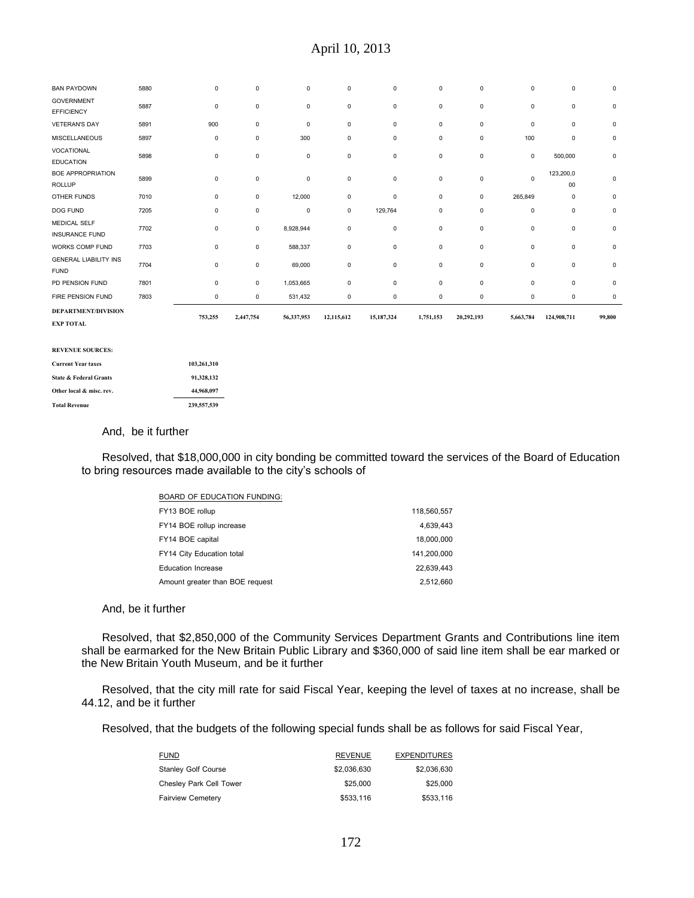| <b>BAN PAYDOWN</b>                             | 5880 | 0           | 0           | $\mathbf 0$ | 0          | 0           | 0         | 0            | 0           | 0                   | 0           |
|------------------------------------------------|------|-------------|-------------|-------------|------------|-------------|-----------|--------------|-------------|---------------------|-------------|
| <b>GOVERNMENT</b><br><b>EFFICIENCY</b>         | 5887 | $\mathbf 0$ | 0           | $\mathbf 0$ | 0          | $\mathbf 0$ | 0         | $\mathsf 0$  | $\pmb{0}$   | $\mathbf 0$         | $\mathbf 0$ |
| <b>VETERAN'S DAY</b>                           | 5891 | 900         | 0           | 0           | 0          | 0           | 0         | 0            | 0           | $\mathbf 0$         | 0           |
| <b>MISCELLANEOUS</b>                           | 5897 | 0           | $\mathbf 0$ | 300         | 0          | $\mathbf 0$ | 0         | $\mathbf 0$  | 100         | $\mathbf 0$         | $\mathbf 0$ |
| VOCATIONAL<br><b>EDUCATION</b>                 | 5898 | $\mathbf 0$ | 0           | 0           | 0          | 0           | 0         | $\mathsf 0$  | $\mathbf 0$ | 500,000             | $\mathsf 0$ |
| <b>BOE APPROPRIATION</b><br><b>ROLLUP</b>      | 5899 | $\mathbf 0$ | 0           | 0           | 0          | 0           | 0         | $\mathsf 0$  | $\mathbf 0$ | 123,200,0<br>$00\,$ | 0           |
| OTHER FUNDS                                    | 7010 | 0           | 0           | 12,000      | 0          | 0           | 0         | $\mathsf 0$  | 265,849     | $\mathsf 0$         | 0           |
| <b>DOG FUND</b>                                | 7205 | $\mathbf 0$ | 0           | $\mathsf 0$ | 0          | 129,764     | 0         | $\mathbf 0$  | $\pmb{0}$   | $\mathbf 0$         | $\mathsf 0$ |
| MEDICAL SELF<br><b>INSURANCE FUND</b>          | 7702 | $\mathbf 0$ | 0           | 8,928,944   | 0          | 0           | 0         | $\mathsf 0$  | 0           | $\mathsf 0$         | $\mathbf 0$ |
| WORKS COMP FUND                                | 7703 | $\mathbf 0$ | 0           | 588,337     | 0          | 0           | 0         | $\mathsf{O}$ | $\pmb{0}$   | $\mathsf 0$         | $\mathsf 0$ |
| <b>GENERAL LIABILITY INS</b><br><b>FUND</b>    | 7704 | $\mathbf 0$ | 0           | 69,000      | 0          | 0           | 0         | $\mathbf 0$  | $\pmb{0}$   | $\mathbf 0$         | $\mathsf 0$ |
| PD PENSION FUND                                | 7801 | $\mathbf 0$ | 0           | 1,053,665   | 0          | 0           | 0         | $\mathsf 0$  | $\mathbf 0$ | $\mathsf 0$         | $\mathbf 0$ |
| FIRE PENSION FUND                              | 7803 | $\mathbf 0$ | 0           | 531,432     | 0          | 0           | 0         | $\mathbf 0$  | $\pmb{0}$   | $\mathbf 0$         | $\mathsf 0$ |
| <b>DEPARTMENT/DIVISION</b><br><b>EXP TOTAL</b> |      | 753,255     | 2,447,754   | 56,337,953  | 12,115,612 | 15,187,324  | 1,751,153 | 20,292,193   | 5,663,784   | 124,908,711         | 99,800      |
| <b>REVENUE SOURCES:</b>                        |      |             |             |             |            |             |           |              |             |                     |             |
| <b>Current Year taxes</b>                      |      | 103,261,310 |             |             |            |             |           |              |             |                     |             |

| <b>State &amp; Federal Grants</b> | 91.328.132  |
|-----------------------------------|-------------|
| Other local & misc. rev.          | 44.968.097  |
| <b>Total Revenue</b>              | 239.557.539 |

## And, be it further

Resolved, that \$18,000,000 in city bonding be committed toward the services of the Board of Education to bring resources made available to the city's schools of

| <b>BOARD OF EDUCATION FUNDING:</b> |             |
|------------------------------------|-------------|
| FY13 BOE rollup                    | 118,560,557 |
| FY14 BOE rollup increase           | 4.639.443   |
| FY14 BOE capital                   | 18,000,000  |
| FY14 City Education total          | 141.200.000 |
| <b>Education Increase</b>          | 22.639.443  |
| Amount greater than BOE request    | 2.512.660   |

#### And, be it further

Resolved, that \$2,850,000 of the Community Services Department Grants and Contributions line item shall be earmarked for the New Britain Public Library and \$360,000 of said line item shall be ear marked or the New Britain Youth Museum, and be it further

Resolved, that the city mill rate for said Fiscal Year, keeping the level of taxes at no increase, shall be 44.12, and be it further

Resolved, that the budgets of the following special funds shall be as follows for said Fiscal Year,

| <b>FUND</b>                | <b>REVENUE</b> | <b>EXPENDITURES</b> |
|----------------------------|----------------|---------------------|
| <b>Stanley Golf Course</b> | \$2,036,630    | \$2,036,630         |
| Chesley Park Cell Tower    | \$25,000       | \$25,000            |
| <b>Fairview Cemetery</b>   | \$533,116      | \$533,116           |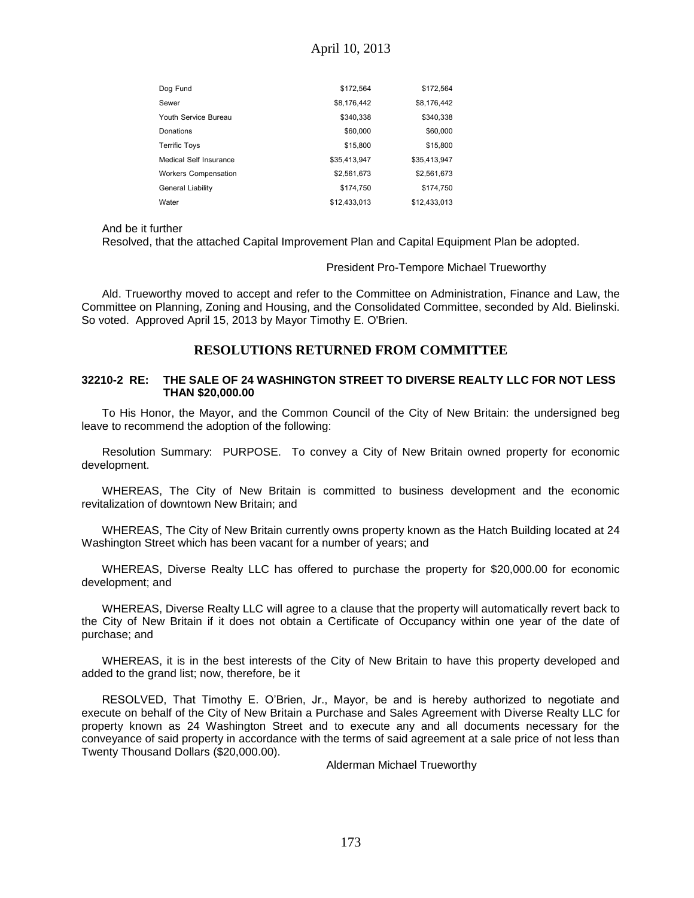| Dog Fund                    | \$172,564    | \$172,564    |
|-----------------------------|--------------|--------------|
| Sewer                       | \$8,176,442  | \$8,176,442  |
| Youth Service Bureau        | \$340,338    | \$340,338    |
| Donations                   | \$60,000     | \$60,000     |
| <b>Terrific Toys</b>        | \$15,800     | \$15,800     |
| Medical Self Insurance      | \$35,413,947 | \$35,413,947 |
| <b>Workers Compensation</b> | \$2,561.673  | \$2,561,673  |
| <b>General Liability</b>    | \$174,750    | \$174,750    |
| Water                       | \$12,433,013 | \$12,433,013 |

And be it further

Resolved, that the attached Capital Improvement Plan and Capital Equipment Plan be adopted.

#### President Pro-Tempore Michael Trueworthy

Ald. Trueworthy moved to accept and refer to the Committee on Administration, Finance and Law, the Committee on Planning, Zoning and Housing, and the Consolidated Committee, seconded by Ald. Bielinski. So voted. Approved April 15, 2013 by Mayor Timothy E. O'Brien.

## **RESOLUTIONS RETURNED FROM COMMITTEE**

### **32210-2 RE: THE SALE OF 24 WASHINGTON STREET TO DIVERSE REALTY LLC FOR NOT LESS THAN \$20,000.00**

To His Honor, the Mayor, and the Common Council of the City of New Britain: the undersigned beg leave to recommend the adoption of the following:

Resolution Summary: PURPOSE. To convey a City of New Britain owned property for economic development.

WHEREAS, The City of New Britain is committed to business development and the economic revitalization of downtown New Britain; and

WHEREAS, The City of New Britain currently owns property known as the Hatch Building located at 24 Washington Street which has been vacant for a number of years; and

WHEREAS, Diverse Realty LLC has offered to purchase the property for \$20,000.00 for economic development; and

WHEREAS, Diverse Realty LLC will agree to a clause that the property will automatically revert back to the City of New Britain if it does not obtain a Certificate of Occupancy within one year of the date of purchase; and

WHEREAS, it is in the best interests of the City of New Britain to have this property developed and added to the grand list; now, therefore, be it

RESOLVED, That Timothy E. O'Brien, Jr., Mayor, be and is hereby authorized to negotiate and execute on behalf of the City of New Britain a Purchase and Sales Agreement with Diverse Realty LLC for property known as 24 Washington Street and to execute any and all documents necessary for the conveyance of said property in accordance with the terms of said agreement at a sale price of not less than Twenty Thousand Dollars (\$20,000.00).

Alderman Michael Trueworthy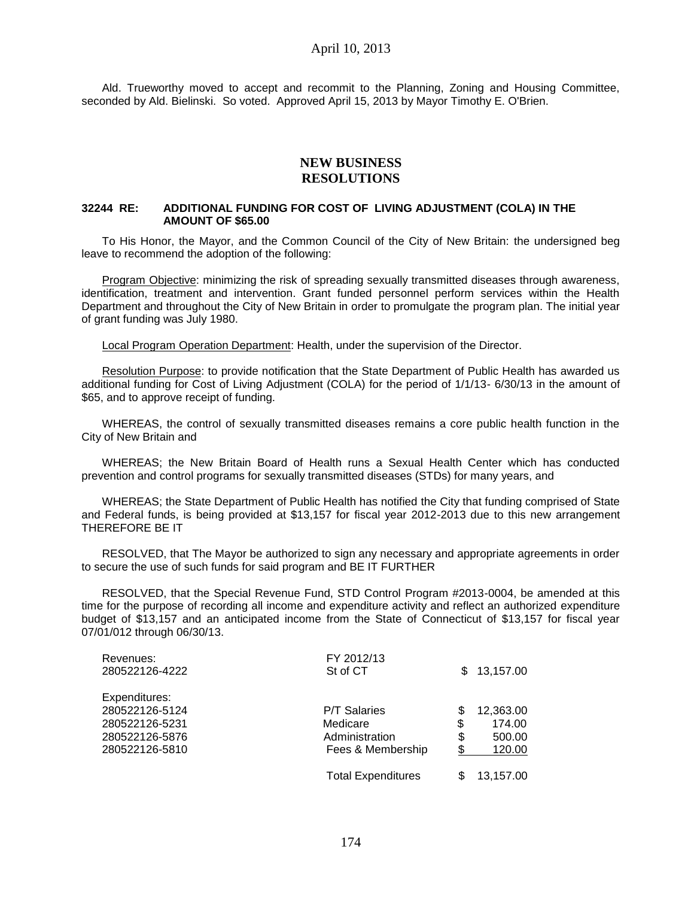Ald. Trueworthy moved to accept and recommit to the Planning, Zoning and Housing Committee, seconded by Ald. Bielinski. So voted. Approved April 15, 2013 by Mayor Timothy E. O'Brien.

## **NEW BUSINESS RESOLUTIONS**

### **32244 RE: ADDITIONAL FUNDING FOR COST OF LIVING ADJUSTMENT (COLA) IN THE AMOUNT OF \$65.00**

To His Honor, the Mayor, and the Common Council of the City of New Britain: the undersigned beg leave to recommend the adoption of the following:

Program Objective: minimizing the risk of spreading sexually transmitted diseases through awareness, identification, treatment and intervention. Grant funded personnel perform services within the Health Department and throughout the City of New Britain in order to promulgate the program plan. The initial year of grant funding was July 1980.

Local Program Operation Department: Health, under the supervision of the Director.

Resolution Purpose: to provide notification that the State Department of Public Health has awarded us additional funding for Cost of Living Adjustment (COLA) for the period of 1/1/13- 6/30/13 in the amount of \$65, and to approve receipt of funding.

WHEREAS, the control of sexually transmitted diseases remains a core public health function in the City of New Britain and

WHEREAS; the New Britain Board of Health runs a Sexual Health Center which has conducted prevention and control programs for sexually transmitted diseases (STDs) for many years, and

WHEREAS; the State Department of Public Health has notified the City that funding comprised of State and Federal funds, is being provided at \$13,157 for fiscal year 2012-2013 due to this new arrangement THEREFORE BE IT

RESOLVED, that The Mayor be authorized to sign any necessary and appropriate agreements in order to secure the use of such funds for said program and BE IT FURTHER

RESOLVED, that the Special Revenue Fund, STD Control Program #2013-0004, be amended at this time for the purpose of recording all income and expenditure activity and reflect an authorized expenditure budget of \$13,157 and an anticipated income from the State of Connecticut of \$13,157 for fiscal year 07/01/012 through 06/30/13.

| Revenues:<br>280522126-4222 | FY 2012/13<br>St of CT    | S. | 13,157.00 |
|-----------------------------|---------------------------|----|-----------|
|                             |                           |    |           |
| Expenditures:               |                           |    |           |
| 280522126-5124              | <b>P/T Salaries</b>       | \$ | 12,363.00 |
| 280522126-5231              | Medicare                  | \$ | 174.00    |
| 280522126-5876              | Administration            | \$ | 500.00    |
| 280522126-5810              | Fees & Membership         | \$ | 120.00    |
|                             | <b>Total Expenditures</b> | S  | 13,157.00 |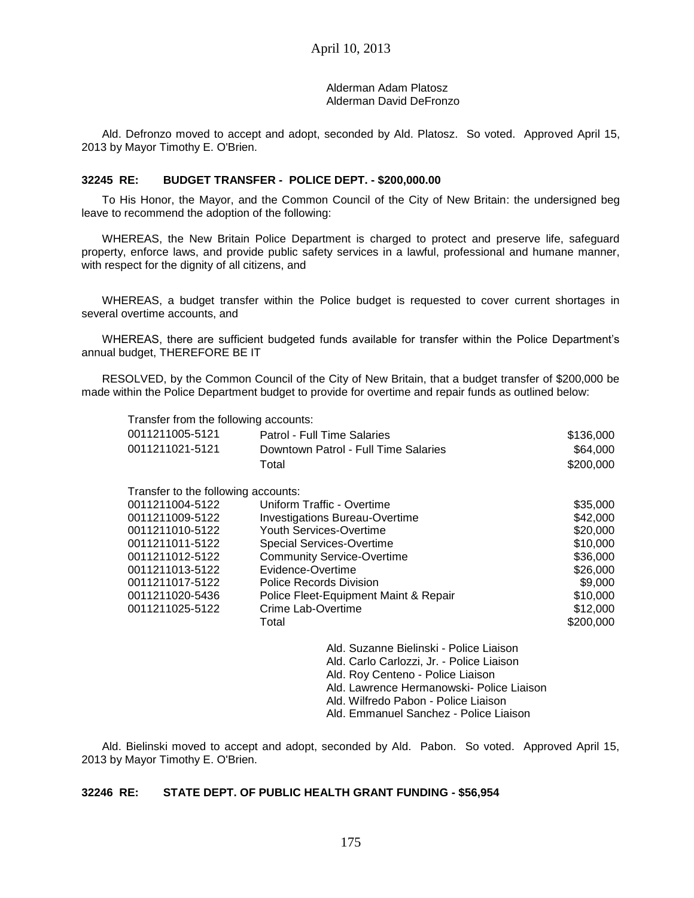Alderman Adam Platosz Alderman David DeFronzo

Ald. Defronzo moved to accept and adopt, seconded by Ald. Platosz. So voted. Approved April 15, 2013 by Mayor Timothy E. O'Brien.

#### **32245 RE: BUDGET TRANSFER - POLICE DEPT. - \$200,000.00**

To His Honor, the Mayor, and the Common Council of the City of New Britain: the undersigned beg leave to recommend the adoption of the following:

WHEREAS, the New Britain Police Department is charged to protect and preserve life, safeguard property, enforce laws, and provide public safety services in a lawful, professional and humane manner, with respect for the dignity of all citizens, and

WHEREAS, a budget transfer within the Police budget is requested to cover current shortages in several overtime accounts, and

WHEREAS, there are sufficient budgeted funds available for transfer within the Police Department's annual budget, THEREFORE BE IT

RESOLVED, by the Common Council of the City of New Britain, that a budget transfer of \$200,000 be made within the Police Department budget to provide for overtime and repair funds as outlined below:

Transfer from the following accounts:

| 0011211005-5121 | Patrol - Full Time Salaries          | \$136,000 |
|-----------------|--------------------------------------|-----------|
| 0011211021-5121 | Downtown Patrol - Full Time Salaries | \$64,000  |
|                 | Total                                | \$200.000 |

| Transfer to the following accounts: |                                       |           |
|-------------------------------------|---------------------------------------|-----------|
| 0011211004-5122                     | Uniform Traffic - Overtime            | \$35,000  |
| 0011211009-5122                     | <b>Investigations Bureau-Overtime</b> | \$42,000  |
| 0011211010-5122                     | Youth Services-Overtime               | \$20,000  |
| 0011211011-5122                     | <b>Special Services-Overtime</b>      | \$10,000  |
| 0011211012-5122                     | <b>Community Service-Overtime</b>     | \$36,000  |
| 0011211013-5122                     | Evidence-Overtime                     | \$26,000  |
| 0011211017-5122                     | <b>Police Records Division</b>        | \$9,000   |
| 0011211020-5436                     | Police Fleet-Equipment Maint & Repair | \$10,000  |
| 0011211025-5122                     | Crime Lab-Overtime                    | \$12,000  |
|                                     | Total                                 | \$200,000 |
|                                     |                                       |           |
|                                     |                                       |           |

Ald. Suzanne Bielinski - Police Liaison Ald. Carlo Carlozzi, Jr. - Police Liaison Ald. Roy Centeno - Police Liaison Ald. Lawrence Hermanowski- Police Liaison Ald. Wilfredo Pabon - Police Liaison Ald. Emmanuel Sanchez - Police Liaison

Ald. Bielinski moved to accept and adopt, seconded by Ald. Pabon. So voted. Approved April 15, 2013 by Mayor Timothy E. O'Brien.

## **32246 RE: STATE DEPT. OF PUBLIC HEALTH GRANT FUNDING - \$56,954**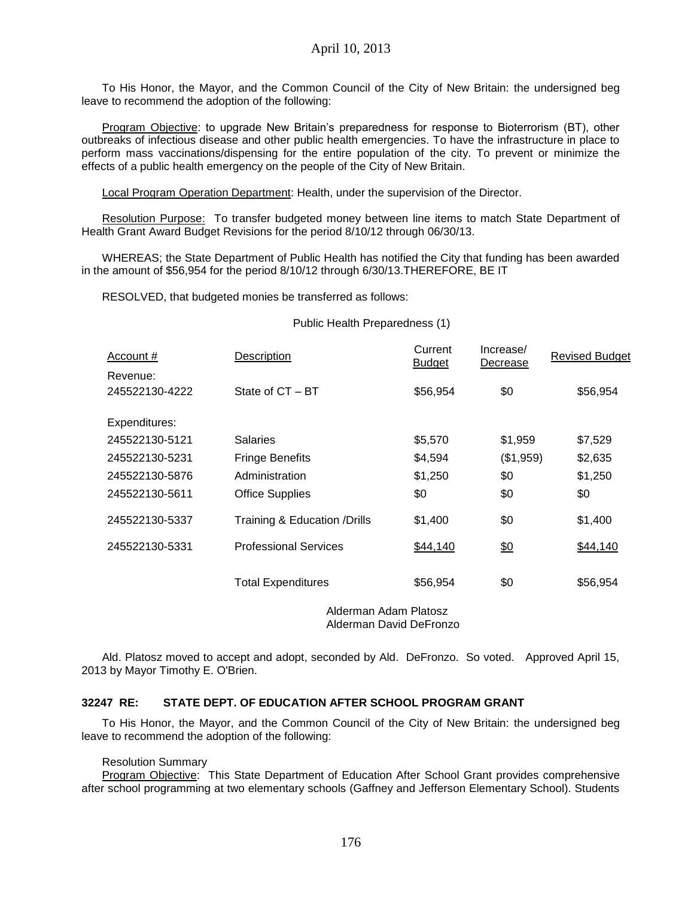To His Honor, the Mayor, and the Common Council of the City of New Britain: the undersigned beg leave to recommend the adoption of the following:

Program Objective: to upgrade New Britain's preparedness for response to Bioterrorism (BT), other outbreaks of infectious disease and other public health emergencies. To have the infrastructure in place to perform mass vaccinations/dispensing for the entire population of the city. To prevent or minimize the effects of a public health emergency on the people of the City of New Britain.

Local Program Operation Department: Health, under the supervision of the Director.

Resolution Purpose: To transfer budgeted money between line items to match State Department of Health Grant Award Budget Revisions for the period 8/10/12 through 06/30/13.

WHEREAS; the State Department of Public Health has notified the City that funding has been awarded in the amount of \$56,954 for the period 8/10/12 through 6/30/13.THEREFORE, BE IT

RESOLVED, that budgeted monies be transferred as follows:

#### Public Health Preparedness (1)

| Account #                  | Description                   | Current<br><b>Budget</b> | Increase/<br>Decrease | <b>Revised Budget</b> |
|----------------------------|-------------------------------|--------------------------|-----------------------|-----------------------|
| Revenue:<br>245522130-4222 | State of CT - BT              | \$56,954                 | \$0                   | \$56,954              |
| Expenditures:              |                               |                          |                       |                       |
| 245522130-5121             | <b>Salaries</b>               | \$5,570                  | \$1,959               | \$7,529               |
| 245522130-5231             | <b>Fringe Benefits</b>        | \$4,594                  | (\$1,959)             | \$2,635               |
| 245522130-5876             | Administration                | \$1,250                  | \$0                   | \$1,250               |
| 245522130-5611             | <b>Office Supplies</b>        | \$0                      | \$0                   | \$0                   |
| 245522130-5337             | Training & Education / Drills | \$1,400                  | \$0                   | \$1,400               |
| 245522130-5331             | <b>Professional Services</b>  | \$44,140                 | \$0                   | \$44,140              |
|                            | <b>Total Expenditures</b>     | \$56,954                 | \$0                   | \$56,954              |

Alderman Adam Platosz Alderman David DeFronzo

Ald. Platosz moved to accept and adopt, seconded by Ald. DeFronzo. So voted. Approved April 15, 2013 by Mayor Timothy E. O'Brien.

### **32247 RE: STATE DEPT. OF EDUCATION AFTER SCHOOL PROGRAM GRANT**

To His Honor, the Mayor, and the Common Council of the City of New Britain: the undersigned beg leave to recommend the adoption of the following:

#### Resolution Summary

Program Objective: This State Department of Education After School Grant provides comprehensive after school programming at two elementary schools (Gaffney and Jefferson Elementary School). Students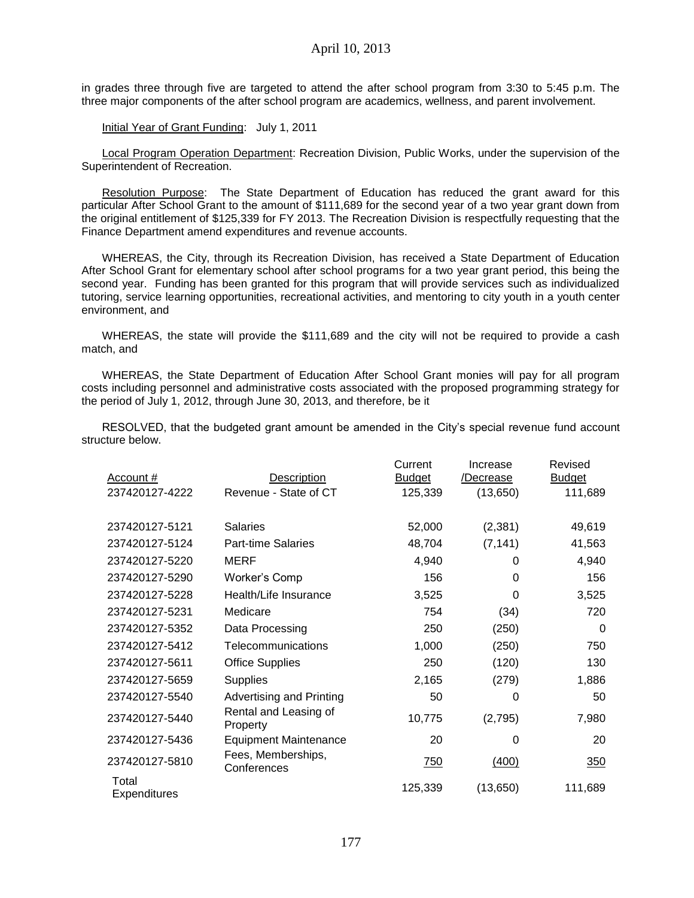in grades three through five are targeted to attend the after school program from 3:30 to 5:45 p.m. The three major components of the after school program are academics, wellness, and parent involvement.

Initial Year of Grant Funding: July 1, 2011

Local Program Operation Department: Recreation Division, Public Works, under the supervision of the Superintendent of Recreation.

Resolution Purpose: The State Department of Education has reduced the grant award for this particular After School Grant to the amount of \$111,689 for the second year of a two year grant down from the original entitlement of \$125,339 for FY 2013. The Recreation Division is respectfully requesting that the Finance Department amend expenditures and revenue accounts.

WHEREAS, the City, through its Recreation Division, has received a State Department of Education After School Grant for elementary school after school programs for a two year grant period, this being the second year. Funding has been granted for this program that will provide services such as individualized tutoring, service learning opportunities, recreational activities, and mentoring to city youth in a youth center environment, and

WHEREAS, the state will provide the \$111,689 and the city will not be required to provide a cash match, and

WHEREAS, the State Department of Education After School Grant monies will pay for all program costs including personnel and administrative costs associated with the proposed programming strategy for the period of July 1, 2012, through June 30, 2013, and therefore, be it

RESOLVED, that the budgeted grant amount be amended in the City's special revenue fund account structure below.

|                              |                                   | Current       | Increase  | Revised       |
|------------------------------|-----------------------------------|---------------|-----------|---------------|
| Account #                    | <b>Description</b>                | <b>Budget</b> | /Decrease | <b>Budget</b> |
| 237420127-4222               | Revenue - State of CT             | 125,339       | (13, 650) | 111,689       |
|                              |                                   |               |           |               |
| 237420127-5121               | <b>Salaries</b>                   | 52,000        | (2, 381)  | 49,619        |
| 237420127-5124               | <b>Part-time Salaries</b>         | 48,704        | (7, 141)  | 41,563        |
| 237420127-5220               | <b>MERF</b>                       | 4,940         | 0         | 4,940         |
| 237420127-5290               | Worker's Comp                     | 156           | 0         | 156           |
| 237420127-5228               | Health/Life Insurance             | 3,525         | 0         | 3,525         |
| 237420127-5231               | Medicare                          | 754           | (34)      | 720           |
| 237420127-5352               | Data Processing                   | 250           | (250)     | 0             |
| 237420127-5412               | Telecommunications                | 1,000         | (250)     | 750           |
| 237420127-5611               | <b>Office Supplies</b>            | 250           | (120)     | 130           |
| 237420127-5659               | <b>Supplies</b>                   | 2,165         | (279)     | 1,886         |
| 237420127-5540               | Advertising and Printing          | 50            | 0         | 50            |
| 237420127-5440               | Rental and Leasing of<br>Property | 10,775        | (2,795)   | 7,980         |
| 237420127-5436               | <b>Equipment Maintenance</b>      | 20            | 0         | 20            |
| 237420127-5810               | Fees, Memberships,<br>Conferences | 750           | (400)     | 350           |
| Total<br><b>Expenditures</b> |                                   | 125,339       | (13,650)  | 111,689       |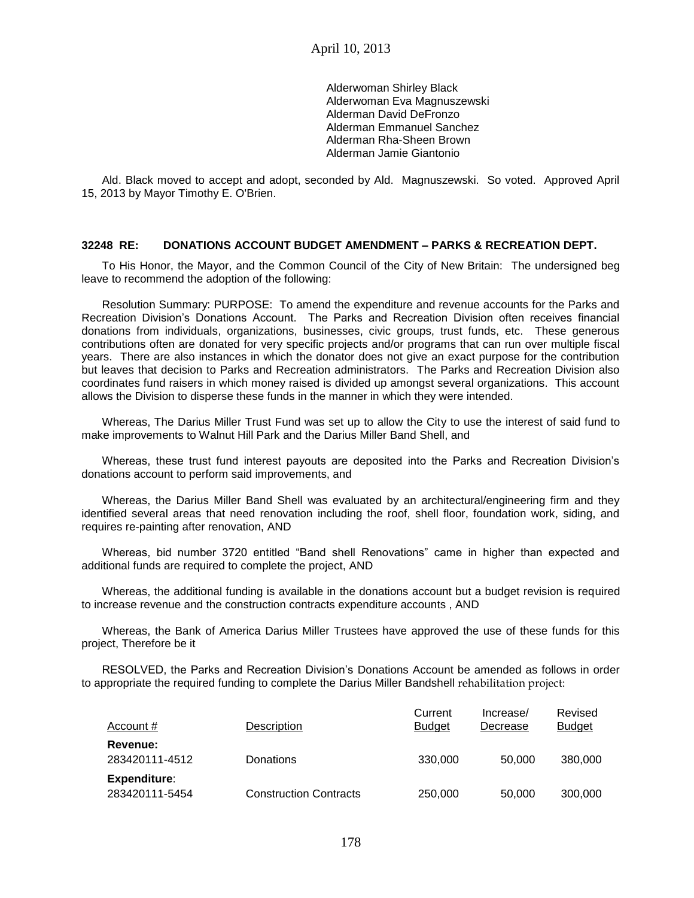Alderwoman Shirley Black Alderwoman Eva Magnuszewski Alderman David DeFronzo Alderman Emmanuel Sanchez Alderman Rha-Sheen Brown Alderman Jamie Giantonio

Ald. Black moved to accept and adopt, seconded by Ald. Magnuszewski. So voted. Approved April 15, 2013 by Mayor Timothy E. O'Brien.

### **32248 RE: DONATIONS ACCOUNT BUDGET AMENDMENT – PARKS & RECREATION DEPT.**

To His Honor, the Mayor, and the Common Council of the City of New Britain: The undersigned beg leave to recommend the adoption of the following:

Resolution Summary: PURPOSE: To amend the expenditure and revenue accounts for the Parks and Recreation Division's Donations Account. The Parks and Recreation Division often receives financial donations from individuals, organizations, businesses, civic groups, trust funds, etc. These generous contributions often are donated for very specific projects and/or programs that can run over multiple fiscal years. There are also instances in which the donator does not give an exact purpose for the contribution but leaves that decision to Parks and Recreation administrators. The Parks and Recreation Division also coordinates fund raisers in which money raised is divided up amongst several organizations. This account allows the Division to disperse these funds in the manner in which they were intended.

Whereas, The Darius Miller Trust Fund was set up to allow the City to use the interest of said fund to make improvements to Walnut Hill Park and the Darius Miller Band Shell, and

Whereas, these trust fund interest payouts are deposited into the Parks and Recreation Division's donations account to perform said improvements, and

Whereas, the Darius Miller Band Shell was evaluated by an architectural/engineering firm and they identified several areas that need renovation including the roof, shell floor, foundation work, siding, and requires re-painting after renovation, AND

Whereas, bid number 3720 entitled "Band shell Renovations" came in higher than expected and additional funds are required to complete the project, AND

Whereas, the additional funding is available in the donations account but a budget revision is required to increase revenue and the construction contracts expenditure accounts , AND

Whereas, the Bank of America Darius Miller Trustees have approved the use of these funds for this project, Therefore be it

RESOLVED, the Parks and Recreation Division's Donations Account be amended as follows in order to appropriate the required funding to complete the Darius Miller Bandshell rehabilitation project:

| Account #                             | Description                   | Current<br><b>Budget</b> | Increase/<br>Decrease | Revised<br><b>Budget</b> |
|---------------------------------------|-------------------------------|--------------------------|-----------------------|--------------------------|
| <b>Revenue:</b><br>283420111-4512     | Donations                     | 330,000                  | 50.000                | 380,000                  |
| <b>Expenditure:</b><br>283420111-5454 | <b>Construction Contracts</b> | 250,000                  | 50,000                | 300,000                  |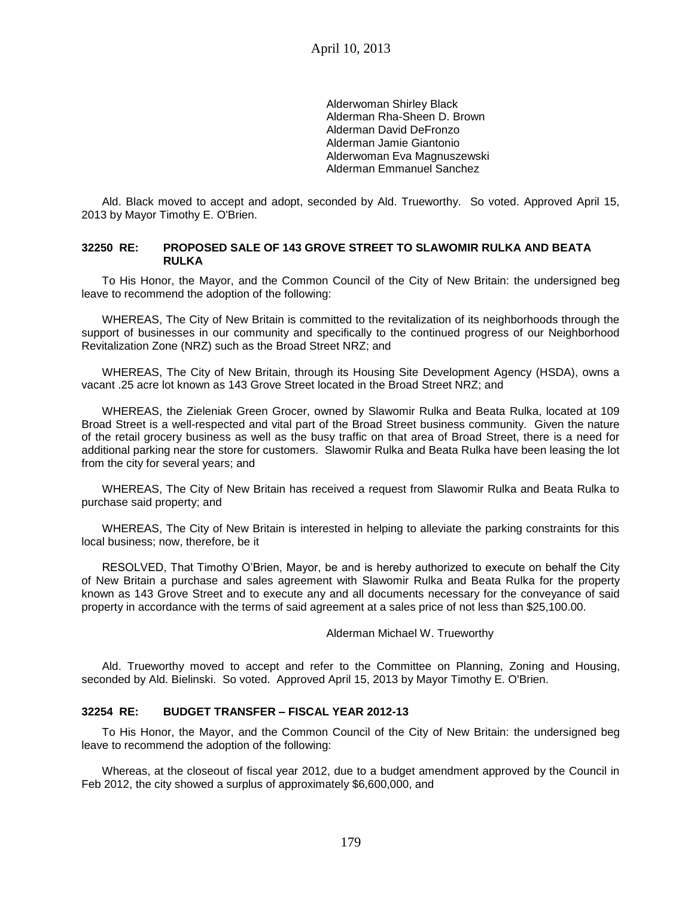Alderwoman Shirley Black Alderman Rha-Sheen D. Brown Alderman David DeFronzo Alderman Jamie Giantonio Alderwoman Eva Magnuszewski Alderman Emmanuel Sanchez

Ald. Black moved to accept and adopt, seconded by Ald. Trueworthy. So voted. Approved April 15, 2013 by Mayor Timothy E. O'Brien.

#### **32250 RE: PROPOSED SALE OF 143 GROVE STREET TO SLAWOMIR RULKA AND BEATA RULKA**

To His Honor, the Mayor, and the Common Council of the City of New Britain: the undersigned beg leave to recommend the adoption of the following:

WHEREAS, The City of New Britain is committed to the revitalization of its neighborhoods through the support of businesses in our community and specifically to the continued progress of our Neighborhood Revitalization Zone (NRZ) such as the Broad Street NRZ; and

WHEREAS, The City of New Britain, through its Housing Site Development Agency (HSDA), owns a vacant .25 acre lot known as 143 Grove Street located in the Broad Street NRZ; and

WHEREAS, the Zieleniak Green Grocer, owned by Slawomir Rulka and Beata Rulka, located at 109 Broad Street is a well-respected and vital part of the Broad Street business community. Given the nature of the retail grocery business as well as the busy traffic on that area of Broad Street, there is a need for additional parking near the store for customers. Slawomir Rulka and Beata Rulka have been leasing the lot from the city for several years; and

WHEREAS, The City of New Britain has received a request from Slawomir Rulka and Beata Rulka to purchase said property; and

WHEREAS, The City of New Britain is interested in helping to alleviate the parking constraints for this local business; now, therefore, be it

RESOLVED, That Timothy O'Brien, Mayor, be and is hereby authorized to execute on behalf the City of New Britain a purchase and sales agreement with Slawomir Rulka and Beata Rulka for the property known as 143 Grove Street and to execute any and all documents necessary for the conveyance of said property in accordance with the terms of said agreement at a sales price of not less than \$25,100.00.

#### Alderman Michael W. Trueworthy

Ald. Trueworthy moved to accept and refer to the Committee on Planning, Zoning and Housing, seconded by Ald. Bielinski. So voted. Approved April 15, 2013 by Mayor Timothy E. O'Brien.

### **32254 RE: BUDGET TRANSFER – FISCAL YEAR 2012-13**

To His Honor, the Mayor, and the Common Council of the City of New Britain: the undersigned beg leave to recommend the adoption of the following:

Whereas, at the closeout of fiscal year 2012, due to a budget amendment approved by the Council in Feb 2012, the city showed a surplus of approximately \$6,600,000, and